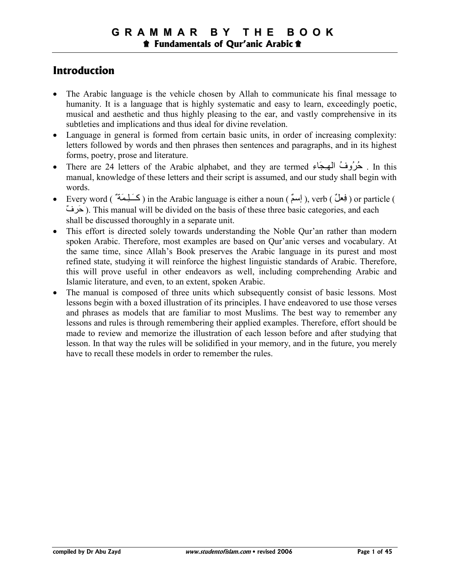## **Introduction**

- The Arabic language is the vehicle chosen by Allah to communicate his final message to humanity. It is a language that is highly systematic and easy to learn, exceedingly poetic, musical and aesthetic and thus highly pleasing to the ear, and vastly comprehensive in its subtleties and implications and thus ideal for divine revelation.
- Language in general is formed from certain basic units, in order of increasing complexity: letters followed by words and then phrases then sentences and paragraphs, and in its highest forms, poetry, prose and literature.
- There are 24 letters of the Arabic alphabet, and they are termed حُرُوفُ الْمُهْجَاءِ ). In this manual, knowledge of these letters and their script is assumed, and our study shall begin with words.
- Every word ( نَعِطٌ ) in the Arabic language is either a noun ( إِسمٌ ), verb ( فِعلٌ ) or particle ( حَرِفٌ ). This manual will be divided on the basis of these three basic categories, and each shall be discussed thoroughly in a separate unit.
- This effort is directed solely towards understanding the Noble Qur'an rather than modern spoken Arabic. Therefore, most examples are based on Qur'anic verses and vocabulary. At the same time, since Allah's Book preserves the Arabic language in its purest and most refined state, studying it will reinforce the highest linguistic standards of Arabic. Therefore, this will prove useful in other endeavors as well, including comprehending Arabic and Islamic literature, and even, to an extent, spoken Arabic.
- The manual is composed of three units which subsequently consist of basic lessons. Most lessons begin with a boxed illustration of its principles. I have endeavored to use those verses and phrases as models that are familiar to most Muslims. The best way to remember any lessons and rules is through remembering their applied examples. Therefore, effort should be made to review and memorize the illustration of each lesson before and after studying that lesson. In that way the rules will be solidified in your memory, and in the future, you merely have to recall these models in order to remember the rules.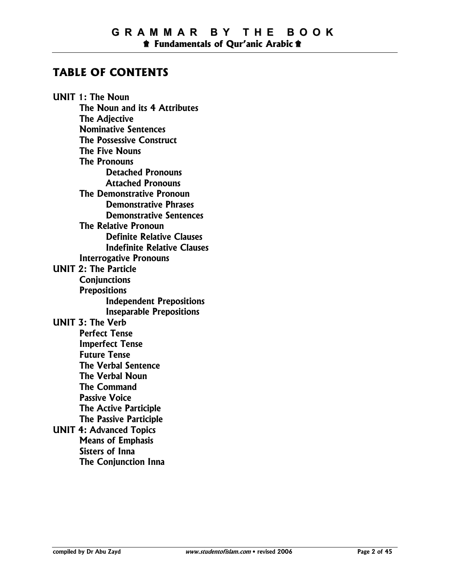## **TABLE OF CONTENTS**

**UNIT 1: The Noun The Noun and its 4 Attributes The Adjective Nominative Sentences The Possessive Construct The Five Nouns The Pronouns Detached Pronouns Attached Pronouns The Demonstrative Pronoun Demonstrative Phrases Demonstrative Sentences The Relative Pronoun Definite Relative Clauses Indefinite Relative Clauses Interrogative Pronouns UNIT 2: The Particle Conjunctions Prepositions Independent Prepositions Inseparable Prepositions UNIT 3: The Verb Perfect Tense Imperfect Tense Future Tense The Verbal Sentence The Verbal Noun The Command Passive Voice The Active Participle The Passive Participle UNIT 4: Advanced Topics Means of Emphasis Sisters of Inna The Conjunction Inna**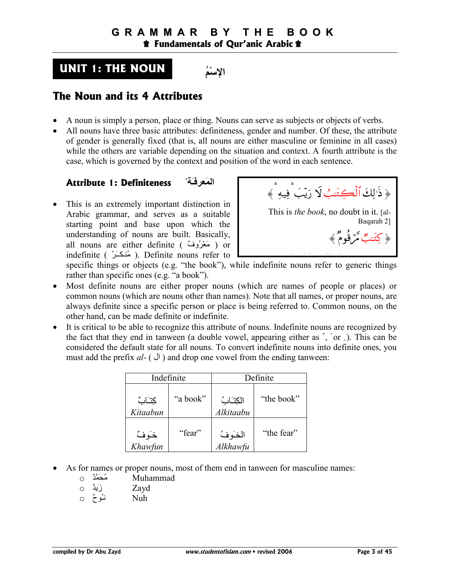## **UNIT 1: THE NOUN**



## **The Noun and its 4 Attributes**

- A noun is simply a person, place or thing. Nouns can serve as subjects or objects of verbs.
- All nouns have three basic attributes: definiteness, gender and number. Of these, the attribute of gender is generally fixed (that is, all nouns are either masculine or feminine in all cases) while the others are variable depending on the situation and context. A fourth attribute is the case, which is governed by the context and position of the word in each sentence.

### **ٌ اَ
ـَ Definiteness 1: Attribute**

• This is an extremely important distinction in Arabic grammar, and serves as a suitable starting point and base upon which the understanding of nouns are built. Basically, all nouns are either definite ( مَعْرُوفٌ ) or indefinite ( مُنكَرٌ ). Definite nouns refer to



specific things or objects (e.g. "the book"), while indefinite nouns refer to generic things rather than specific ones (e.g. "a book").

- Most definite nouns are either proper nouns (which are names of people or places) or common nouns (which are nouns other than names). Note that all names, or proper nouns, are always definite since a specific person or place is being referred to. Common nouns, on the other hand, can be made definite or indefinite.
- It is critical to be able to recognize this attribute of nouns. Indefinite nouns are recognized by the fact that they end in tanween (a double vowel, appearing either as ', 'or  $\Box$ ). This can be considered the default state for all nouns. To convert indefinite nouns into definite ones, you must add the prefix *al-* (  $\downarrow$ ) and drop one vowel from the ending tanween:

|                   | Indefinite | Definite              |            |  |  |
|-------------------|------------|-----------------------|------------|--|--|
| كتابٌ<br>Kitaabun | "a book"   | الكتابُ<br>Alkitaabu  | "the book" |  |  |
| خَوفٌ<br>Khawfun  | "fear"     | الخـَـوفُ<br>Alkhawfu | "the fear" |  |  |

- As for names or proper nouns, most of them end in tanween for masculine names:
	- o مُحَمَّدٌ م
	- o ٌZ]َز Zayd
	- $\circ$  فُوحٌ  $\circ$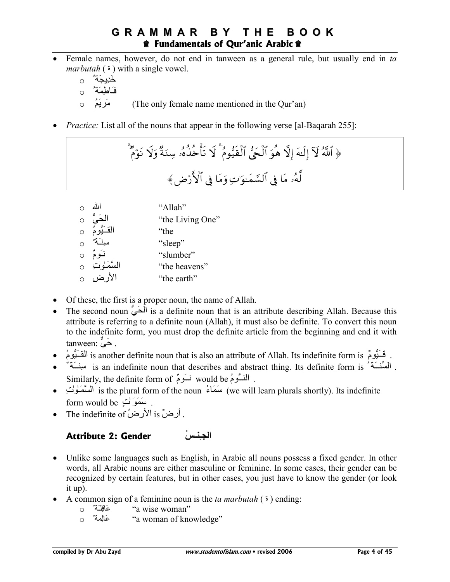- Female names, however, do not end in tanween as a general rule, but usually end in *ta marbutah* ( $\epsilon$ ) with a single vowel.
	- خَدِيجَة' 0 فَاطِمَةٌ م
	- o ُ8َ]-َK (The only female name mentioned in the Qur'an)
- *Practice:* List all of the nouns that appear in the following verse [al-Baqarah 255]:

َوُ ۱ۜلَّهُ لَاَ إِلَّهَ إِلَّا هُوَ  اَلَحَيُ  اَلَقَيُّومُ  لَا تَأَحُدُهُر سِنَةُ وَلَا تَوَمُ
$$
|
$$

| الله                       | "Allah"          |
|----------------------------|------------------|
| الْحَيُّ<br>القَـَيُّومُ 0 | "the Living One" |
|                            | "the             |
|                            | "sleep"          |
| نوم ن                      | "slumber"        |
| السَّمَـٰوٰلْتِ 0          | "the heavens"    |
| الأرض                      | "the earth"      |

- Of these, the first is a proper noun, the name of Allah.
- The second noun  $\int$  is a definite noun that is an attribute describing Allah. Because this attribute is referring to a definite noun (Allah), it must also be definite. To convert this noun to the indefinite form, you must drop the definite article from the beginning and end it with tanween:  $\sum_{n=1}^{\infty}$ .
- فَــنُومٌ is another definite noun that is also an attribute of Allah. Its indefinite form is . فَــنُومُ الق
- السِّنْسَةُ \* is an indefinite noun that describes and abstract thing. Its definite form is و مبينسَة \* Similarly, the definite form of نَــوَمٌ would be .
- أَللسَّمَـٰولُتِ is the plural form of the noun ُعَلَّهُ (we will learn plurals shortly). Its indefinite form would be يَسْمَوَنْ فِي .
- The indefinite of  $\Delta$  is  $i$ أرض is  $i$ الأرض

## **اـِـُ Gender 2: Attribute**

- Unlike some languages such as English, in Arabic all nouns possess a fixed gender. In other words, all Arabic nouns are either masculine or feminine. In some cases, their gender can be recognized by certain features, but in other cases, you just have to know the gender (or look it up).
- A common sign of a feminine noun is the *ta marbutah* ( ة ( ending:
	- "a wise woman"
	- o ٌ 34ِ(#َx "a woman of knowledge"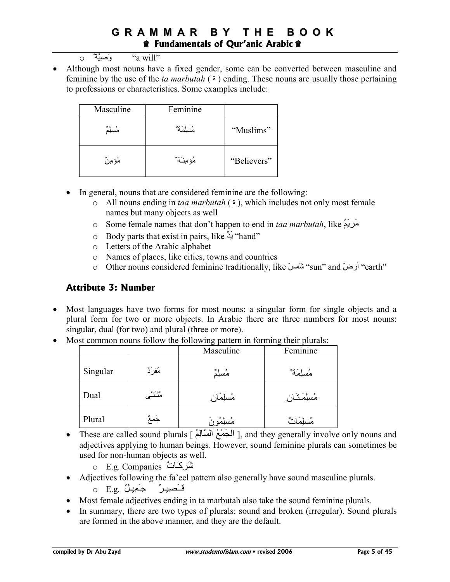- $\circ$  وَصِيَّةٌ  $\circ$  a will"
- Although most nouns have a fixed gender, some can be converted between masculine and feminine by the use of the *ta marbutah* ( $\epsilon$ ) ending. These nouns are usually those pertaining to professions or characteristics. Some examples include:

| Masculine | Feminine |             |
|-----------|----------|-------------|
|           |          | "Muslims"   |
| مُؤمِرُ ٌ |          | "Believers" |

- In general, nouns that are considered feminine are the following:
	- o All nouns ending in *taa marbutah* ( $\epsilon$ ), which includes not only most female names but many objects as well
	- o Some female names that don't happen to end in *taa marbutah*, like  $\alpha$ كريَمَ
	- o Body parts that exist in pairs, like "hand"
	- o Letters of the Arabic alphabet
	- o Names of places, like cities, towns and countries
	- o Other nouns considered feminine traditionally, like "sun" and "أرضّ earth"

#### **Attribute 3: Number**

- Most languages have two forms for most nouns: a singular form for single objects and a plural form for two or more objects. In Arabic there are three numbers for most nouns: singular, dual (for two) and plural (three or more).
- Most common nouns follow the following pattern in forming their plurals:

|          |         | Masculine   | Feminine    |
|----------|---------|-------------|-------------|
| Singular | مُفرَدٌ | مسلِم       | مُسلَّمَةٌ  |
| Dual     | منتنگ   | مُسلِمَان ِ | مُسلِمَتَان |
| Plural   | جمع     | مسلِمَو ن   | مسلِمَانٌ   |

- These are called sound plurals [ الْمَجْمَعُ السَّالِمُ], and they generally involve only nouns and adjectives applying to human beings. However, sound feminine plurals can sometimes be used for non-human objects as well.
	- o E.g. Companies شَرِكَاتٌ
- Adjectives following the fa'eel pattern also generally have sound masculine plurals.

o E.g. فَــَصلِيلٌ

- Most female adjectives ending in ta marbutah also take the sound feminine plurals.
- In summary, there are two types of plurals: sound and broken (irregular). Sound plurals are formed in the above manner, and they are the default.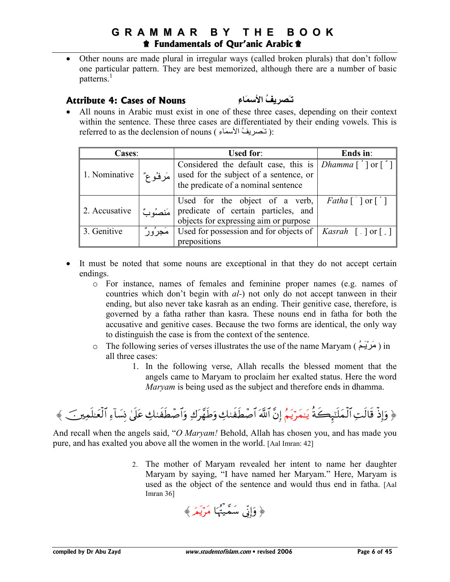• Other nouns are made plural in irregular ways (called broken plurals) that don't follow one particular pattern. They are best memorized, although there are a number of basic patterns.<sup>1</sup>

#### **Attribute 4: Cases of Nouns ِءَ-**

**ا ُَـ** 

• All nouns in Arabic must exist in one of these three cases, depending on their context within the sentence. These three cases are differentiated by their ending vowels. This is referred to as the declension of nouns ( تَـَصريفُ الأسمَاء ):

| <b>Cases:</b> |             | <b>Used for:</b>                                                                                                                                | Ends in:                                                    |
|---------------|-------------|-------------------------------------------------------------------------------------------------------------------------------------------------|-------------------------------------------------------------|
| 1. Nominative | مَرِ فَوْعٌ | Considered the default case, this is $Dhamma [ ' ]$ or $[ ' ]$<br>used for the subject of a sentence, or<br>the predicate of a nominal sentence |                                                             |
| 2. Accusative |             | Used for the object of a verb, $\vert$<br>predicate of certain particles, and<br>objects for expressing aim or purpose                          | <i>Fatha</i> $\lceil \cdot \rceil$ or $\lceil \cdot \rceil$ |
| 3. Genitive   | مَجْرُورٌ   | Used for possession and for objects of   Kasrah [.] or [.]<br>prepositions                                                                      |                                                             |

- It must be noted that some nouns are exceptional in that they do not accept certain endings.
	- o For instance, names of females and feminine proper names (e.g. names of countries which don't begin with *al-*) not only do not accept tanween in their ending, but also never take kasrah as an ending. Their genitive case, therefore, is governed by a fatha rather than kasra. These nouns end in fatha for both the accusative and genitive cases. Because the two forms are identical, the only way to distinguish the case is from the context of the sentence.
	- o The following series of verses illustrates the use of the name Maryam ( ُ8ـَ[ْ-َK ) in all three cases:
		- 1. In the following verse, Allah recalls the blessed moment that the angels came to Maryam to proclaim her exalted status. Here the word *Maryam* is being used as the subject and therefore ends in dhamma.

〈 š Ïϑn=≈yèø9\$# Ï!\$|¡ÎΣ 4'n?tã Å79xsÜô¹\$#uρ Ï8t £ γsÛuρ Å79xsÜô¹\$# © !\$# ¨ βÎ) ãΝtƒöyϑ≈tƒ èπx6Í×‾≈n=yϑø9\$# ÏMs9\$s% øŒÎ)uρ

And recall when the angels said, "*O Maryam!* Behold, Allah has chosen you, and has made you pure, and has exalted you above all the women in the world. [Aal Imran: 42]

> 2. The mother of Maryam revealed her intent to name her daughter Maryam by saying, "I have named her Maryam." Here, Maryam is used as the object of the sentence and would thus end in fatha. [Aal Imran 36]

$$
\frac{1}{2} \left( \frac{1}{2} \right)
$$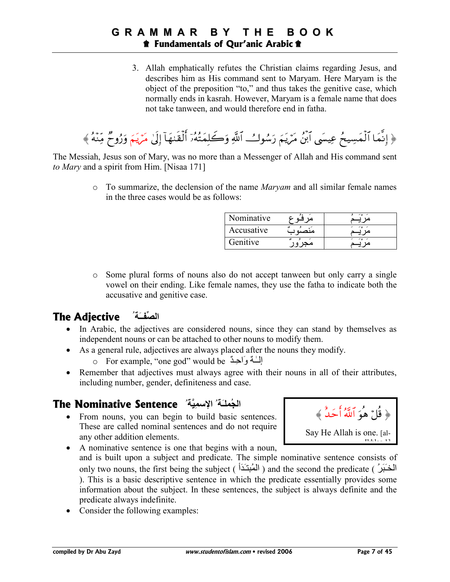3. Allah emphatically refutes the Christian claims regarding Jesus, and describes him as His command sent to Maryam. Here Maryam is the object of the preposition "to," and thus takes the genitive case, which normally ends in kasrah. However, Maryam is a female name that does not take tanween, and would therefore end in fatha.

﴿ إِنَّمَا ٱلْمَسِيحُ عِيسَى أَبَنُ مَرْيَمَ رَسُوكُ ٱللَّهِ وَكَلِمَتُهُۥٓ ٱلْقُنْهَآ إِلَىٰ مَرْيَمَ وَرُوحٌ مِّنْهُ ﴾

The Messiah, Jesus son of Mary, was no more than a Messenger of Allah and His command sent *to Mary* and a spirit from Him. [Nisaa 171]

> o To summarize, the declension of the name *Maryam* and all similar female names in the three cases would be as follows:

| Vominative |       | $\sim$ $\sim$ |
|------------|-------|---------------|
| Accusative | منصبه |               |
| Genitive   |       |               |

o Some plural forms of nouns also do not accept tanween but only carry a single vowel on their ending. Like female names, they use the fatha to indicate both the accusative and genitive case.

## **ا()ــَ ُ Adjective The**

- In Arabic, the adjectives are considered nouns, since they can stand by themselves as independent nouns or can be attached to other nouns to modify them.
- As a general rule, adjectives are always placed after the nouns they modify.

o For example, "one god" would be إلَّـٰهٌ وَاحِدٌ

• Remember that adjectives must always agree with their nouns in all of their attributes, including number, gender, definiteness and case.

## الْجُمْلَةُ ۚ الإسْمِيَّةُ \* **The Nominative Sentence**

• From nouns, you can begin to build basic sentences. These are called nominal sentences and do not require any other addition elements.

﴿ قُلْ هُوَ اللَّهُ احَدٌ ﴾ Say He Allah is one. [al-Ikhlas 1]

- A nominative sentence is one that begins with a noun, and is built upon a subject and predicate. The simple nominative sentence consists of only two nouns, the first being the subject ( الْمُبْتَدَأَ ) and the second the predicate ( الْمَبْتَدَأَ ). This is a basic descriptive sentence in which the predicate essentially provides some information about the subject. In these sentences, the subject is always definite and the predicate always indefinite.
- Consider the following examples: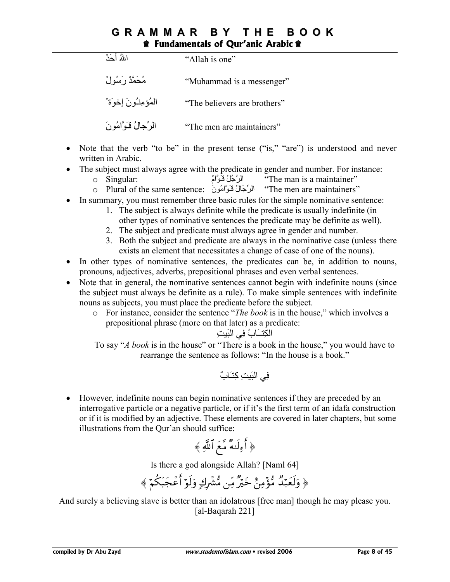| اللهُ أَجَدٌ              | "Allah is one"               |
|---------------------------|------------------------------|
| مُحَمَّدٌ رَسُولٌ         | "Muhammad is a messenger"    |
| الْمُؤْمِنْتُونَ إِخْوَةٌ | "The believers are brothers" |
| الرِّجالُ فَـَوَّامُو نَ  | "The men are maintainers"    |

- Note that the verb "to be" in the present tense ("is," "are") is understood and never written in Arabic.
- The subject must always agree with the predicate in gender and number. For instance:
	- o Singular: الرَّجُلُ فَوَامٌ الرَّجُلُ فَوَامٌ
	- o Plural of the same sentence: الرِّجَالُ فَوَامُونَ :The men are maintainers"
- In summary, you must remember three basic rules for the simple nominative sentence:
	- 1. The subject is always definite while the predicate is usually indefinite (in other types of nominative sentences the predicate may be definite as well).
	- 2. The subject and predicate must always agree in gender and number.
	- 3. Both the subject and predicate are always in the nominative case (unless there exists an element that necessitates a change of case of one of the nouns).
- In other types of nominative sentences, the predicates can be, in addition to nouns, pronouns, adjectives, adverbs, prepositional phrases and even verbal sentences.
- Note that in general, the nominative sentences cannot begin with indefinite nouns (since the subject must always be definite as a rule). To make simple sentences with indefinite nouns as subjects, you must place the predicate before the subject.
	- o For instance, consider the sentence "*The book* is in the house," which involves a prepositional phrase (more on that later) as a predicate:

ا)LِVــ#َبُ =ِh ا)َiِ

To say "*A book* is in the house" or "There is a book in the house," you would have to rearrange the sentence as follows: "In the house is a book."

=ِh ا)َiِ آِVـ#َبٌ

• However, indefinite nouns can begin nominative sentences if they are preceded by an interrogative particle or a negative particle, or if it's the first term of an idafa construction or if it is modified by an adjective. These elements are covered in later chapters, but some illustrations from the Qur'an should suffice:

$$
\frac{1}{2} \left( \frac{1}{2} \right)
$$

Is there a god alongside Allah? [Naml 64]

 〈 öΝä3t6yfôãr& öθs9uρ 7 8Îô³•Β ÏiΒ × öyz í ÏΒ÷σ•Β Ó ‰ö7yès9uρ

And surely a believing slave is better than an idolatrous [free man] though he may please you. [al-Baqarah 221]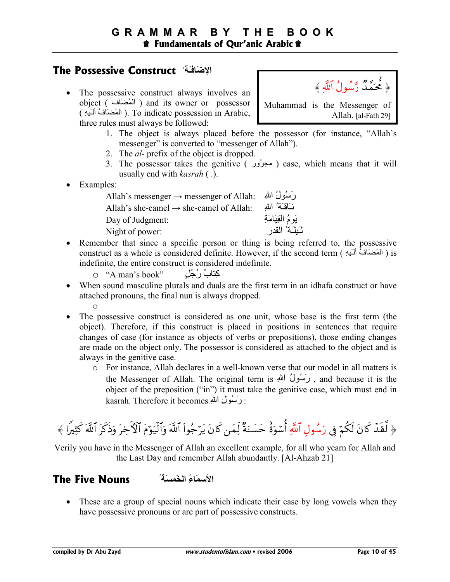## **The Possessive Construct** ُ **َـَ-ا**

• The possessive construct always involves an object ( المُضَاف ) and its owner or possessor ( المُضِنَافُ أَلْبَهِ ). To indicate possession in Arabic, three rules must always be followed:



- 1. The object is always placed before the possessor (for instance, "Allah's messenger" is converted to "messenger of Allah").
- 2. The *al-* prefix of the object is dropped.
- 3. The possessor takes the genitive ( مَجرُور ) case, which means that it will usually end with *kasrah* ( ِ ).
- Examples:

| Allah's messenger $\rightarrow$ messenger of Allah: | رَسُولُ اللهِ         |
|-----------------------------------------------------|-----------------------|
| Allah's she-camel $\rightarrow$ she-camel of Allah: | نَـَاقَـَةُ ۚ الله    |
| Day of Judgment:                                    | بَومُ الْقِيَامَةِ    |
| Night of power:                                     | لَـيِلَـة ُ القَدرِ ِ |

- Remember that since a specific person or thing is being referred to, the possessive construct as a whole is considered definite. However, if the second term ( المُضنَافَ أَلَـٰدِهِ ) is indefinite, the entire construct is considered indefinite.
	- o "A man's book" ٍ;ُُر ُب#Vِآ
- When sound masculine plurals and duals are the first term in an idhafa construct or have attached pronouns, the final nun is always dropped. o
- The possessive construct is considered as one unit, whose base is the first term (the object). Therefore, if this construct is placed in positions in sentences that require changes of case (for instance as objects of verbs or prepositions), those ending changes are made on the object only. The possessor is considered as attached to the object and is always in the genitive case.
	- o For instance, Allah declares in a well-known verse that our model in all matters is the Messenger of Allah. The original term is رَسُولُ اللهِ , and because it is the object of the preposition ("in") it must take the genitive case, which must end in kasrah. Therefore it becomes : رَسُول اللهِ

 〈 # Z ÏVx. © !\$# tx.sŒuρ tÅzFψ\$# tΠöθu‹ø9\$#uρ © !\$# (#θã\_ötƒ tβ%x. yϑÏj9 × πuΖ|¡ym î οuθó™é& «!\$# ÉΑθß™u' 'Îû öΝä3s9 tβ%x. ô‰s) © 9

Verily you have in the Messenger of Allah an excellent example, for all who yearn for Allah and the Last Day and remember Allah abundantly. [Al-Ahzab 21]

#### الأسماءُ الخَمس**َة**ُ **12 The Five Nouns**

• These are a group of special nouns which indicate their case by long vowels when they have possessive pronouns or are part of possessive constructs.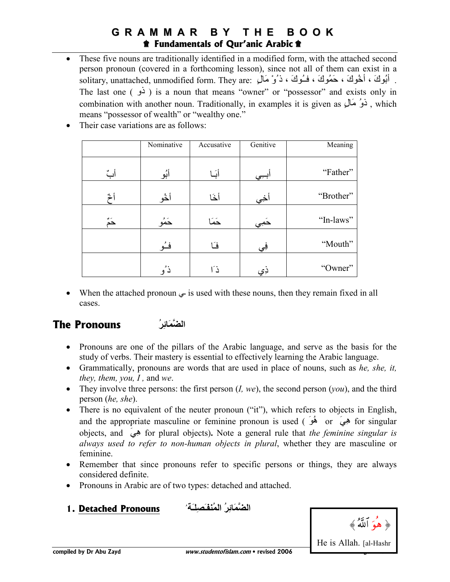These five nouns are traditionally identified in a modified form, with the attached second person pronoun (covered in a forthcoming lesson), since not all of them can exist in a solitary, unattached, unmodified form. They are: أَبُوكَ ، خَمُوكَ ، خَمُوكَ ، فَــُوكَ ، دَىْنَ مَال The last one  $(\epsilon)$  is a noun that means "owner" or "possessor" and exists only in combination with another noun. Traditionally, in examples it is given as  $\mathcal{L}(\mathbf{x})$ , which means "possessor of wealth" or "wealthy one."

|      | Nominative | Accusative | Genitive | Meaning   |
|------|------------|------------|----------|-----------|
| أبٌ  | أبُو       | أبَــا     | ابيي     | "Father"  |
| أخ   | أخُو       | أخا        | أخي      | "Brother" |
| ~ٌمٌ | حَمُو      | حَمَا      | حَمِي    | "In-laws" |
|      | فـُو       | فَـا       | فِي      | "Mouth"   |
|      | ذ'و        | ذ َا       | ذِي      | "Owner"   |

Their case variations are as follows:

• When the attached pronoun  $\epsilon$  is used with these nouns, then they remain fixed in all cases.

## **The Pronouns ُِ0َ+1ا**

- Pronouns are one of the pillars of the Arabic language, and serve as the basis for the study of verbs. Their mastery is essential to effectively learning the Arabic language.
- Grammatically, pronouns are words that are used in place of nouns, such as *he, she, it, they, them, you, I ,* and *we*.
- They involve three persons: the first person (*I, we*), the second person (*you*), and the third person (*he, she*).
- There is no equivalent of the neuter pronoun ("it"), which refers to objects in English, and the appropriate masculine or feminine pronoun is used ( $\phi$  or  $\phi$ ) for singular objects, and َhِه for plural objects)**.** Note a general rule that *the feminine singular is always used to refer to non-human objects in plural*, whether they are masculine or feminine.
- Remember that since pronouns refer to specific persons or things, they are always considered definite.
- Pronouns in Arabic are of two types: detached and attached.





22]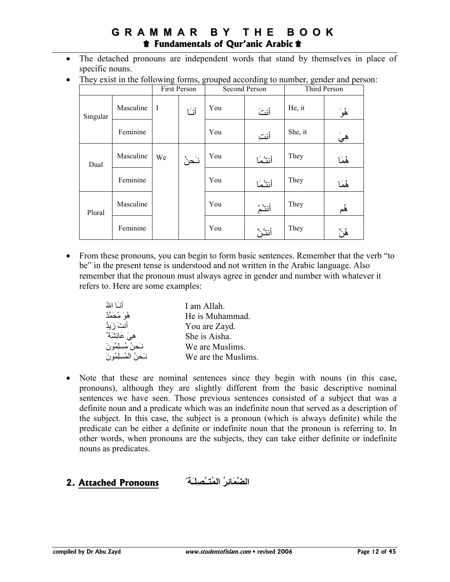- The detached pronouns are independent words that stand by themselves in place of specific nouns.
- They exist in the following forms, grouped according to number, gender and person:

|          |           |             | First Person<br>Second Person |     |         |         | Third Person |  |
|----------|-----------|-------------|-------------------------------|-----|---------|---------|--------------|--|
| Singular | Masculine | $\mathbf I$ | أنا                           | You | أنت     | He, it  | ۿؙۯؘ         |  |
|          | Feminine  |             |                               | You | أنت     | She, it | هِيَ         |  |
| Dual     | Masculine | We          | نَحنُ                         | You | أنتثما  | They    | ۿؘڡؘٵ        |  |
|          | Feminine  |             |                               | You | أنتثما  | They    | هُمَا        |  |
| Plural   | Masculine |             |                               | You | أنتثم   | They    | هُم          |  |
|          | Feminine  |             |                               | You | أنثثنَّ | They    | ۿؙڽۜٞ        |  |

• From these pronouns, you can begin to form basic sentences. Remember that the verb "to" be" in the present tense is understood and not written in the Arabic language. Also remember that the pronoun must always agree in gender and number with whatever it refers to. Here are some examples:

| أنسا اللهُ           | I am Allah.         |
|----------------------|---------------------|
| هُوَ مُحَمَّدٌ       | He is Muhammad.     |
| أنتَ زَيدٌ           | You are Zayd.       |
| هِيَ عَائِشَةُ'      | She is Aisha.       |
| نَحنُ مُسلِمُونَ     | We are Muslims.     |
| نَحِنُ الْمُسلِمُونَ | We are the Muslims. |

• Note that these are nominal sentences since they begin with nouns (in this case, pronouns), although they are slightly different from the basic descriptive nominal sentences we have seen. Those previous sentences consisted of a subject that was a definite noun and a predicate which was an indefinite noun that served as a description of the subject. In this case, the subject is a pronoun (which is always definite) while the predicate can be either a definite or indefinite noun that the pronoun is referring to. In other words, when pronouns are the subjects, they can take either definite or indefinite nouns as predicates.

## **اِ0َ+1ُ ا3ُــِ+\*ـَ** ُ **Pronouns Attached 2.**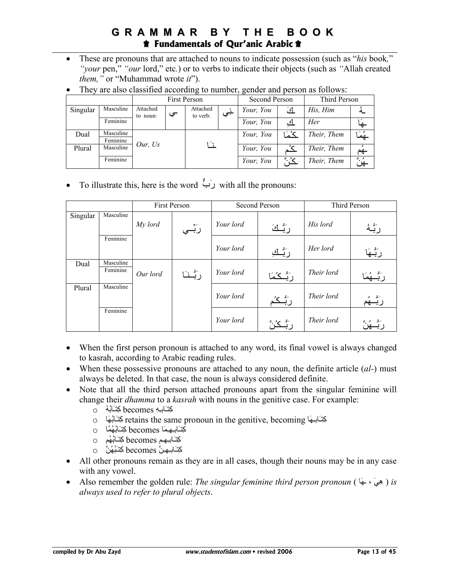- These are pronouns that are attached to nouns to indicate possession (such as "*his* book*,*" *"your* pen," *"our* lord," etc*.*) or to verbs to indicate their objects (such as *"*Allah created *them,"* or "Muhammad wrote *it*").
- They are also classified according to number, gender and person as follows:

|          |                       | <b>First Person</b>  |      |                      | Second Person |           | Third Person |             |           |
|----------|-----------------------|----------------------|------|----------------------|---------------|-----------|--------------|-------------|-----------|
| Singular | Masculine             | Attached<br>to noun: | ىپ   | Attached<br>to verb: | لمِي          | Your, You | <u>ائ</u>    | His, Him    |           |
|          | Feminine              |                      |      |                      |               | Your, You | <u>ا</u> ک   | Her         |           |
| Dual     | Masculine<br>Feminine |                      |      |                      |               | Your, You | كُمُا        | Their, Them | يُهمَا    |
| Plural   | Masculine             | Our, $Us$            | أثرا |                      |               | Your, You |              | Their, Them | جم        |
|          | Feminine              |                      |      |                      |               | Your, You | سرو ت        | Their, Them | فريق<br>٩ |

• To illustrate this, here is the word  $\overrightarrow{C}$  with all the pronouns:

|          |           |          | First Person |           | Second Person                      |            | Third Person |
|----------|-----------|----------|--------------|-----------|------------------------------------|------------|--------------|
| Singular | Masculine | My lord  |              | Your lord |                                    | His lord   |              |
|          |           |          | رَبِّــي     |           | رَبُّـكَ                           |            | رَبُّهُ      |
|          | Feminine  |          |              |           |                                    |            |              |
|          |           |          |              | Your lord | رَبُّـكِ                           | Her lord   | رَبُّــهَا   |
| Dual     | Masculine |          |              |           |                                    |            |              |
|          | Feminine  | Our lord | رَبُّـنَـا   | Your lord | رَ بُّــكُمَا                      | Their lord | ربــهم       |
| Plural   | Masculine |          |              |           |                                    |            |              |
|          |           |          |              | Your lord | ر <sup>َبُّــكُ<sup>ر</sup>ُ</sup> | Their lord | ربسهم        |
|          | Feminine  |          |              | Your lord |                                    | Their lord |              |
|          |           |          |              |           |                                    |            |              |

- When the first person pronoun is attached to any word, its final vowel is always changed to kasrah, according to Arabic reading rules.
- When these possessive pronouns are attached to any noun, the definite article (*al-*) must always be deleted. In that case, the noun is always considered definite.
- Note that all the third person attached pronouns apart from the singular feminine will change their *dhamma* to a *kasrah* with nouns in the genitive case. For example:
	- آِVـ#َـِِ becomes آِVـُُ#َ o
	- o لِكِتَـابِهَا retains the same pronoun in the genitive, becoming لِحَسَّابُهَا  $\sim$
	- آِVـ#َـِ'ـ#َ4ِ becomes آِVـُ#َ'#ُ4ُ o
	- آِVـ#َـِ'ـ8ِ becomes آِVـُ#َ'8ُ o
	- كِتَـٰابِـهِـنُّ becomes كِتَـبُهُنَّ ⊙
- All other pronouns remain as they are in all cases, though their nouns may be in any case with any vowel.
- Also remember the golden rule: *The singular feminine third person pronoun* ( #َ'ـ ، َhِه( *is always used to refer to plural objects*.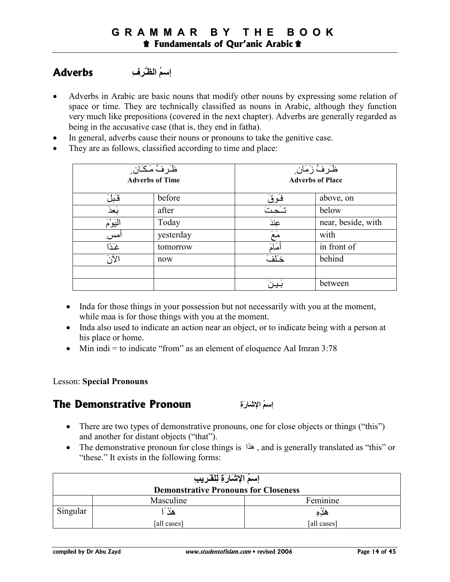#### إ**سمُ الظَّرفِ** Adverbs

- Adverbs in Arabic are basic nouns that modify other nouns by expressing some relation of space or time. They are technically classified as nouns in Arabic, although they function very much like prepositions (covered in the next chapter). Adverbs are generally regarded as being in the accusative case (that is, they end in fatha).
- In general, adverbs cause their nouns or pronouns to take the genitive case.
- They are as follows, classified according to time and place:

|                  | ظَرفُ مَكَان ِ<br><b>Adverbs of Time</b> | ظَـرفُ زَمَان ٍ<br><b>Adverbs of Place</b> |                    |
|------------------|------------------------------------------|--------------------------------------------|--------------------|
| قَبْلَ           | before                                   | <u>فَوقَ</u>                               | above, on          |
| بَعدَ            | after                                    | تكحت                                       | below              |
| الْيَوْمَ        | Today                                    | عِندَ                                      | near, beside, with |
| امس              | yesterday                                | - -<br>مع                                  | with               |
| غَذًا            | tomorrow                                 | مَامَ                                      | in front of        |
| $\tilde{\Omega}$ | now                                      | خاف                                        | behind             |
|                  |                                          |                                            |                    |
|                  |                                          |                                            | between            |

- Inda for those things in your possession but not necessarily with you at the moment, while maa is for those things with you at the moment.
- Inda also used to indicate an action near an object, or to indicate being with a person at his place or home.
- Min indi = to indicate "from" as an element of eloquence Aal Imran  $3:78$

#### Lesson: **Special Pronouns**

#### **The Demonstrative Pronoun**

إ**سعُ الاشَارَةِ** 

- There are two types of demonstrative pronouns, one for close objects or things ("this") and another for distant objects ("that").
- The demonstrative pronoun for close things is  $\frac{d}{dx}$ , and is generally translated as "this" or "these." It exists in the following forms:

| إسمُ الإشَارَةِ لِلْقَرِيبِ                 |             |             |  |
|---------------------------------------------|-------------|-------------|--|
| <b>Demonstrative Pronouns for Closeness</b> |             |             |  |
|                                             | Masculine   | Feminine    |  |
| Singular                                    | هٰذَ        | هدِهِ       |  |
|                                             | [all cases] | [all cases] |  |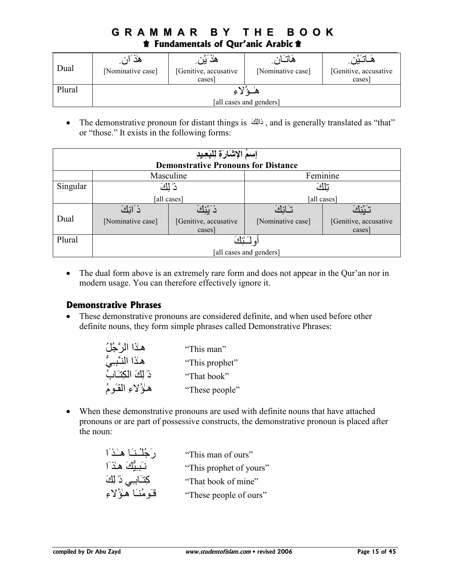| Dual   | هد<br>[Nominative case] | مد<br>[Genitive, accusative<br>cases] | ھانہ<br>[Nominative case] | [Genitive, accusative<br>cases] |
|--------|-------------------------|---------------------------------------|---------------------------|---------------------------------|
| Plural |                         |                                       |                           |                                 |
|        | [all cases and genders] |                                       |                           |                                 |

• The demonstrative pronoun for distant things is ذالِكَ , and is generally translated as "that" or "those." It exists in the following forms:

| إسمُ الإشَارَةِ لِلْبَعِيدِ |                         |                                            |                   |                       |
|-----------------------------|-------------------------|--------------------------------------------|-------------------|-----------------------|
|                             |                         | <b>Demonstrative Pronouns for Distance</b> |                   |                       |
|                             |                         | Masculine                                  | Feminine          |                       |
| Singular                    | ز' لكَ                  |                                            | تلكَ              |                       |
|                             |                         | [all cases]                                | [all cases]       |                       |
|                             | ذكايك                   |                                            | تنازات            |                       |
| Dual                        | [Nominative case]       | [Genitive, accusative                      | [Nominative case] | [Genitive, accusative |
|                             |                         | cases]                                     |                   | cases]                |
| Plural                      | أأأكئ                   |                                            |                   |                       |
|                             | [all cases and genders] |                                            |                   |                       |

• The dual form above is an extremely rare form and does not appear in the Qur'an nor in modern usage. You can therefore effectively ignore it.

#### **Demonstrative Phrases**

• These demonstrative pronouns are considered definite, and when used before other definite nouns, they form simple phrases called Demonstrative Phrases:

| هـٰذا الرَّجُلُ     | "This man"     |
|---------------------|----------------|
| هلاا النَّبِيُّ     | "This prophet" |
| ذا لِكَ الْكِتَـاتُ | "That book"    |
| هاؤُلاءِ القَوْمُ   | "These people" |

• When these demonstrative pronouns are used with definite nouns that have attached pronouns or are part of possessive constructs, the demonstrative pronoun is placed after the noun:

| دَ خُلُسْنَا هَـٰذَا  | "This man of ours"      |
|-----------------------|-------------------------|
| نَدِيُّكَ هَذَا       | "This prophet of yours" |
| كِتَـَابِـِي ذَٰ لِكَ | "That book of mine"     |
| قَومُنَا هَؤُلاءِ     | "These people of ours"  |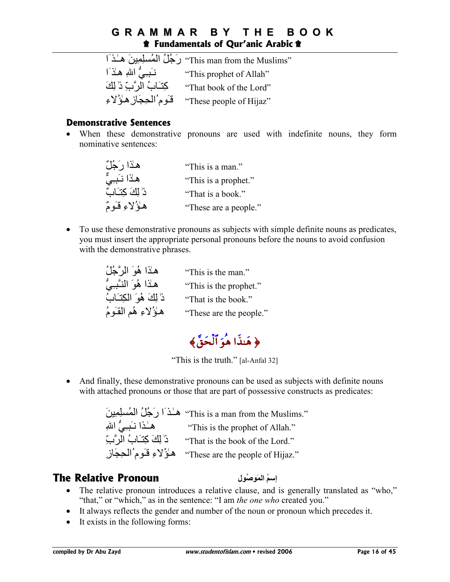ٰهـ¬اـَ َziِ4ِ5mُ4(ا ُ;َُر" This man from the Muslims" "This prophet of Allah" مَـٰـَـبِـيُّ اللهِ هِـلاَ اللهِ<br>"That book of the Lord" مَّـَـّـاَتُ اللهَ يَـنَّ ذَٰ اللهَ "That book of the Lord" كِتَـابَ الرَّبِّ ذُ' لِكَ<br>"These neople of Hijaz" قَوْمُ الْحِجَازِ هِؤُ لِاءِ "These people of  $Hijaz$ "

#### **Demonstrative Sentences**

• When these demonstrative pronouns are used with indefinite nouns, they form nominative sentences:

| هـٰذا رَجُلٌ       | "This is a man."      |
|--------------------|-----------------------|
| هلاا نَبِيٌّ       | "This is a prophet."  |
| ذَا لِكَ كِتَـَابٌ | "That is a book."     |
| هاؤُلاءِ قَـومٌ    | "These are a people." |

• To use these demonstrative pronouns as subjects with simple definite nouns as predicates, you must insert the appropriate personal pronouns before the nouns to avoid confusion with the demonstrative phrases.

| هـٰذا هُوَ الرَّجُلُ      | "This is the man."      |
|---------------------------|-------------------------|
| هـٰذا هُوَ النَّبِـِيُّ   | "This is the prophet."  |
| ذَا لِكَ هُوَ الْكِتَـابُ | "That is the book."     |
| هاؤُلاءِ هُم القَومُ      | "These are the people." |

﴿ هَنذَا هُوَ الْخَقُّ﴾

"This is the truth." [al-Anfal 32]

• And finally, these demonstrative pronouns can be used as subjects with definite nouns with attached pronouns or those that are part of possessive constructs as predicates:

> َziِ4ِ5mُ4(ا ُ;َُر اَ¬ ـ ٰهـ" This is a man from the Muslims." ِّتِ اللهِ "This is the prophet of Allah" مِــٰذا نَـبِـيُّ اللهِ ِّبَّ ) '''That is the book of the Lord. '' These are the people of Hijaz." هُؤُلاءِ قَومُ الْحِجَازِ

## **The Relative Pronoun**

**إسمُ المَوصُول** 

- The relative pronoun introduces a relative clause, and is generally translated as "who," "that," or "which," as in the sentence: "I am *the one who* created you."
- It always reflects the gender and number of the noun or pronoun which precedes it.
- It exists in the following forms: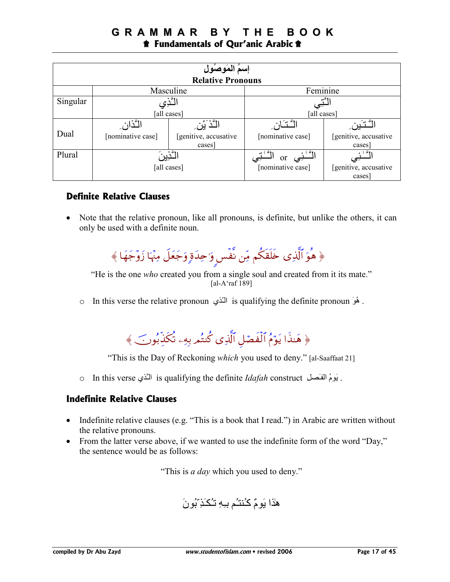|                                                   | إسمُ المَوصُول    |                       |                                   |                       |
|---------------------------------------------------|-------------------|-----------------------|-----------------------------------|-----------------------|
| <b>Relative Pronouns</b><br>Feminine<br>Masculine |                   |                       |                                   |                       |
| Singular                                          | 'گذِی             |                       |                                   |                       |
|                                                   | [all cases]       |                       | [all cases]                       |                       |
|                                                   | التّذانِ          | التَّذَيَّن           | $\cdot$ $\mathbb{C}$ $\mathbb{C}$ |                       |
| Dual                                              | [nominative case] | [genitive, accusative | [nominative case]                 | [genitive, accusative |
|                                                   |                   | cases]                |                                   | cases]                |
| Plural                                            | ؖٚٵۦۜٞۮؾڹ         |                       | <sub>or</sub>                     | ۵۱<br>s.              |
|                                                   | [all cases]       |                       | [nominative case]                 | [genitive, accusative |
|                                                   |                   |                       |                                   | cases                 |

#### **Definite Relative Clauses**

• Note that the relative pronoun, like all pronouns, is definite, but unlike the others, it can only be used with a definite noun.

﴿ هُوَ الَّذِي خَلَقَكُمْ مِّن نفس وَ'حِدَةٍ وَجَعَلٍ مِنْهَا زَوَّجَهَا ﴾

"He is the one *who* created you from a single soul and created from it its mate." [al-A'raf 189]

o In this verse the relative pronoun المَّدْي is qualifying the definite pronoun . هُوَ



"This is the Day of Reckoning *which* you used to deny." [al-Saaffaat 21]

o In this verse الْذَي is qualifying the definite *Idafah* construct . يَومُ الْفَصلِ

#### **Indefinite Relative Clauses**

- Indefinite relative clauses (e.g. "This is a book that I read.") in Arabic are written without the relative pronouns.
- From the latter verse above, if we wanted to use the indefinite form of the word "Day," the sentence would be as follows:

"This is *a day* which you used to deny."

هٰذا يَومٌ كُنتُم بِهِ تُكَذِّبُونَ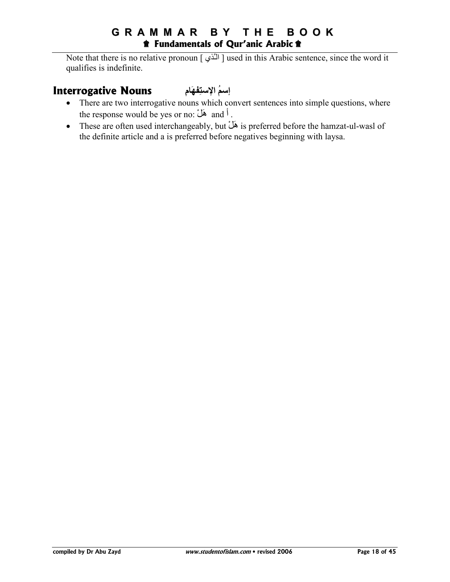## **G R A M M A R B Y T H E B O O K**  $\hat{\mathbf{r}}$  Fundamentals of Qur'anic Arabic  $\hat{\mathbf{r}}$

Note that there is no relative pronoun  $\lceil \frac{1}{2} \rceil$  used in this Arabic sentence, since the word it qualifies is indefinite.

#### إسمُ الإستِ **Interrogative Nouns**

- There are two interrogative nouns which convert sentences into simple questions, where the response would be yes or no: هَلْ and أ
- These are often used interchangeably, but هَلْ is preferred before the hamzat-ul-wasl of the definite article and a is preferred before negatives beginning with laysa.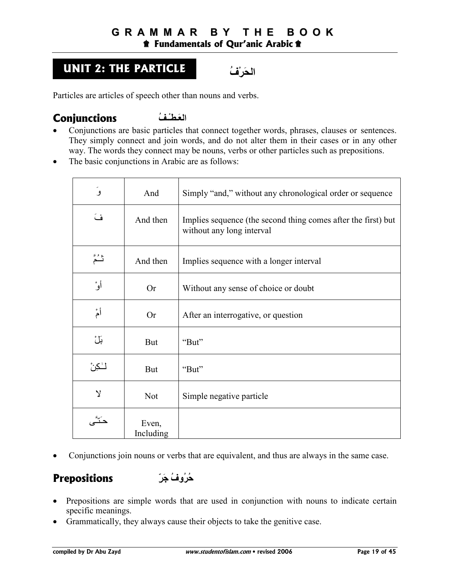## **UNIT 2: THE PARTICLE ُفْَQا**

Particles are articles of speech other than nouns and verbs.

### **Conjunctions** العَطْـفُ

- Conjunctions are basic particles that connect together words, phrases, clauses or sentences. They simply connect and join words, and do not alter them in their cases or in any other way. The words they connect may be nouns, verbs or other particles such as prepositions.
- The basic conjunctions in Arabic are as follows:

| ۅؘ           | And                | Simply "and," without any chronological order or sequence                                  |
|--------------|--------------------|--------------------------------------------------------------------------------------------|
| فَ           | And then           | Implies sequence (the second thing comes after the first) but<br>without any long interval |
| ثدٌ مَّ      | And then           | Implies sequence with a longer interval                                                    |
| أوْ          | <b>Or</b>          | Without any sense of choice or doubt                                                       |
| أمٌ          | <b>Or</b>          | After an interrogative, or question                                                        |
| بَلْ         | <b>But</b>         | "But"                                                                                      |
| للكن         | <b>But</b>         | "But"                                                                                      |
| $\mathsf{Y}$ | <b>Not</b>         | Simple negative particle                                                                   |
|              | Even,<br>Including |                                                                                            |

• Conjunctions join nouns or verbs that are equivalent, and thus are always in the same case.

## **Prepositions** *ِ***ّفُرُوفُ جَرِّ**

- Prepositions are simple words that are used in conjunction with nouns to indicate certain specific meanings.
- Grammatically, they always cause their objects to take the genitive case.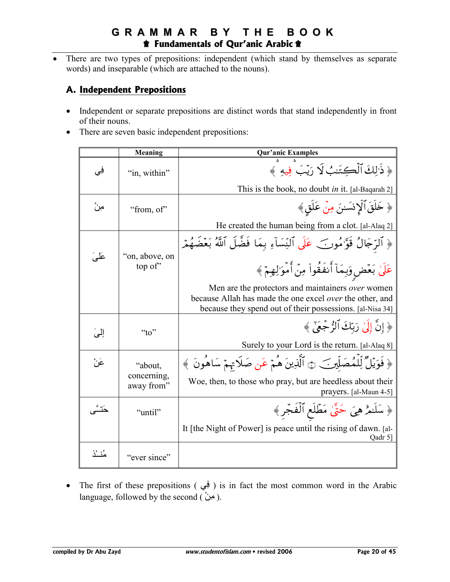## **GRAMMAR BY THE BOOK** *T* Fundamentals of Qur'anic Arabic  $\hat{\mathbf{r}}$

There are two types of prepositions: independent (which stand by themselves as separate words) and inseparable (which are attached to the nouns).

#### A. Independent Prepositions

- Independent or separate prepositions are distinct words that stand independently in front of their nouns.
- There are seven basic independent prepositions:

|            | <b>Meaning</b>            | <b>Qur'anic Examples</b>                                                                                                                                                          |
|------------|---------------------------|-----------------------------------------------------------------------------------------------------------------------------------------------------------------------------------|
| فِي        | "in, within"              | ﴿ ذَٰ إِلَٰ ٱلۡكِتَنِبُ لَا رَيۡبَ فِيهِ ﴾                                                                                                                                        |
|            |                           | This is the book, no doubt <i>in</i> it. [al-Baqarah 2]                                                                                                                           |
| مِنٌ       | "from, of"                | ﴿ خَلَقَ ٱلۡإِنسَـٰنَ مِنۡ عَلَقٍ﴾                                                                                                                                                |
|            |                           | He created the human being from a clot. [al-Alaq 2]                                                                                                                               |
|            |                           | ﴿ ٱلرَّجَالُ قَوَّامُورَ} عَلَى ٱلنِّسَآءِ بِمَا فَضَّلَ ٱللَّهُ بَعۡضَهُمۡ                                                                                                       |
| عَلَىَ     | "on, above, on<br>top of" | عَلَىٰ بَعۡضِ وَبِمَآ أَنفَقُوا۟ مِنۡ أَمۡوَٰ لِهِمۡ ﴾                                                                                                                            |
|            |                           | Men are the protectors and maintainers <i>over</i> women<br>because Allah has made the one excel over the other, and<br>because they spend out of their possessions. [al-Nisa 34] |
| إلى        | " $t_0$ "                 | ﴿ إِنَّ إِلَىٰ رَبِّكَ ٱلرُّ جَعَىٰٓ ﴾                                                                                                                                            |
|            |                           | Surely to your Lord is the return. [al-Alaq 8]                                                                                                                                    |
| عَنْ       | "about,                   | ﴿ فَوَيْلٌ لِّلْمُصَلِّينَ ۞ ٱلَّذِينَ هُمْ عَنِ صَلَاتِهِمْ سَاهُونَ ﴾                                                                                                           |
|            | concerning,<br>away from" | Woe, then, to those who pray, but are heedless about their<br>prayers. [al-Maun 4-5]                                                                                              |
|            | "until"                   | ﴿ سَلَـٰهُ هِيَ حَتَّىٰ مَطْلَعِ ٱلْفَجْرِ ﴾                                                                                                                                      |
|            |                           | It [the Night of Power] is peace until the rising of dawn. [al-<br>Qadr 5]                                                                                                        |
| مُنْــُـٰذ | "ever since"              |                                                                                                                                                                                   |

• The first of these prepositions ( فِي ) is in fact the most common word in the Arabic language, followed by the second ( $\omega$ ).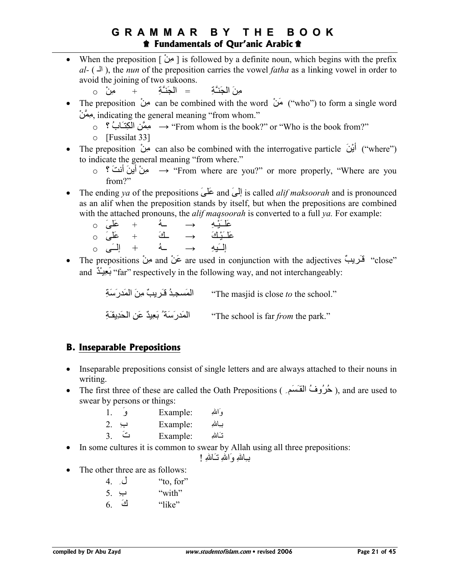• When the preposition [ ْzِK ] is followed by a definite noun, which begins with the prefix *al-* ( $\perp$ ), the *nun* of the preposition carries the vowel *fatha* as a linking vowel in order to avoid the joining of two sukoons.

o ْzِK + ِ3[ـMَ%(ا = ِ3]ـMَ%(ا َzِK

- The preposition مِنْ can be combined with the word  $\sim$  ("who") to form a single word ِمِعَنْ, indicating the general meaning "from whom."
	- o  $\hat{X}$  مِمَّنِ الْكِتَـَابُ  $\rightarrow$  "From whom is the book?" or "Who is the book from?"
	- o [Fussilat 33]
- rhe preposition  $\overline{\mathbf{v}}$  can also be combined with the interrogative particle  $\overline{\mathbf{v}}$ ) ("where") to indicate the general meaning "from where."
	- $_{\circ}$  ° مِنْ أَينَ أَنتَ  $_{\circ}$  \* "From where are you?" or more properly, "Where are you from?"
- The ending *ya* of the prepositions َ5َx and َ(إ is called *alif maksoorah* and is pronounced as an alif when the preposition stands by itself, but when the prepositions are combined with the attached pronouns, the *alif maqsoorah* is converted to a full *ya.* For example:

| عَلَىٰ ٥              |  | $\rightarrow$ | عَلَـَيْهِ |
|-----------------------|--|---------------|------------|
| $\circ$ عَلَى $\circ$ |  | $\rightarrow$ | عَلْىَنْكَ |
| + إِلَــَى 0          |  | $\rightarrow$ | إلىيه      |

• The prepositions مَنْ and مَنْ are used in conjunction with the adjectives " close" and "far" respectively in the following way, and not interchangeably:

> ِ3َ9َرZَ4(ا َzِK ٌµ]-َـs ُZِـ%mَ4(ا" The masjid is close *to* the school." ِ3َـj]ِZَ\(ا ِzَx ٌZiِ<َ ُ 3َ9َرZَ4(ا" The school is far *from* the park."

## **B. Inseparable Prepositions**

- Inseparable prepositions consist of single letters and are always attached to their nouns in writing.
- The first three of these are called the Oath Prepositions (حُرُوفُ الْمَقْسَمَرِ), and are used to swear by persons or things:

|                | Example: | وَاللهِ |
|----------------|----------|---------|
| 2.<br>ب        | Example: | بياللهِ |
| 3 <sub>1</sub> | Example: | تنالله  |

• In some cultures it is common to swear by Allah using all three prepositions:

بْـِاللهِ وَاللهِ نَـَاللهِ !

• The other three are as follows:

|    | ل 4. | "to, for" |
|----|------|-----------|
|    | ب .ر | "with"    |
| 6. | ائی  | "like"    |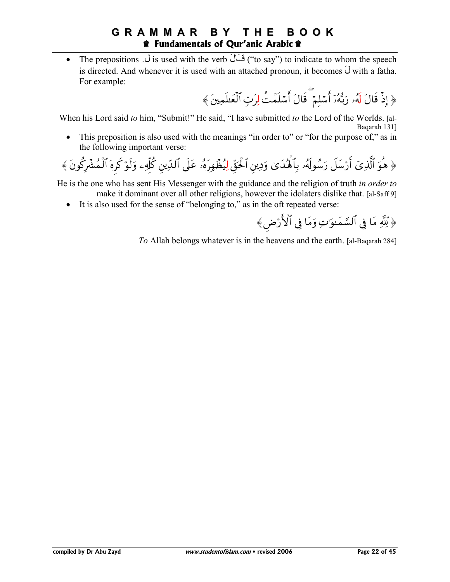#### **BOOK** GRAMMAR BY THE *f* Fundamentals of Qur'anic Arabic  $\hat{\mathbf{r}}$

The prepositions  $\overline{a}$  is used with the verb  $\overline{a}$  ("to say") to indicate to whom the speech  $\bullet$ is directed. And whenever it is used with an attached pronoun, it becomes  $\hat{U}$  with a fatha. For example:

﴿ إِذْ قَالَ لَهُۥ رَبُّهُۥٓ أَسۡلمۡ ۖ قَالَ أَسۡلَمۡتُ لِرَبِّ ٱلۡعَلَمِينَ﴾

When his Lord said to him, "Submit!" He said, "I have submitted to the Lord of the Worlds. [al-Bagarah 131]

This preposition is also used with the meanings "in order to" or "for the purpose of," as in  $\bullet$ the following important verse:

He is the one who has sent His Messenger with the guidance and the religion of truth in order to make it dominant over all other religions, however the idolaters dislike that. [al-Saff 9]

• It is also used for the sense of "belonging to," as in the oft repeated verse:

To Allah belongs whatever is in the heavens and the earth. [al-Baqarah 284]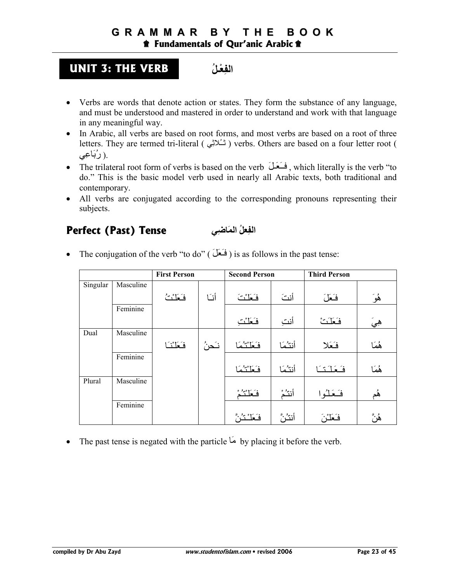## **UNIT 3: THE VERB ـُ [ْ
ِ)ا**

- Verbs are words that denote action or states. They form the substance of any language, and must be understood and mastered in order to understand and work with that language in any meaningful way.
- In Arabic, all verbs are based on root forms, and most verbs are based on a root of three letters. They are termed tri-literal ( شُلائِی ) verbs. Others are based on a four letter root ( ر رُبَاعِي) .
- The trilateral root form of verbs is based on the verb  $\stackrel{\sim}{\longrightarrow}$ , which literally is the verb "to do." This is the basic model verb used in nearly all Arabic texts, both traditional and contemporary.
- All verbs are conjugated according to the corresponding pronouns representing their subjects.

## **Perfect (Past) Tense ^ِ-َا ُ
[ِ)ا**

• The conjugation of the verb "to do" ( $\acute{a}$ ) is as follows in the past tense:

|          |           | <b>First Person</b> |        | <b>Second Person</b> |        | <b>Third Person</b> |       |
|----------|-----------|---------------------|--------|----------------------|--------|---------------------|-------|
| Singular | Masculine |                     |        |                      |        |                     |       |
|          |           | فَعَلْنُتُ          | أنسا   | فَعَلْتَ             | أنتَ   | فَعَلَ              | ۿؙۅؘ  |
|          | Feminine  |                     |        |                      |        |                     |       |
|          |           |                     |        | فَعَلْتُ             | أنت    | فَعَلَتْ            | هِيَ  |
| Dual     | Masculine |                     |        |                      |        |                     |       |
|          |           | فَعَلْنُا           | نـَحنُ | فكلتئما              | أنتثما | فَعَلا              | ۿؘڡؘٵ |
|          | Feminine  |                     |        |                      |        |                     |       |
|          |           |                     |        | فكلتئما              | أنتثما | فكعلكتا             | ۿؘڡؘڶ |
| Plural   | Masculine |                     |        |                      |        |                     |       |
|          |           |                     |        | فَعَلْنُمْ           | أنتث   | فَعَلْوا            | ۿؙم   |
|          | Feminine  |                     |        |                      |        |                     |       |
|          |           |                     |        | فَعَلْنْتُنُ         | أنثث   | فَعَلْرْ            | ۿؙڽۜ  |

• The past tense is negated with the particle  $\overrightarrow{b}$  by placing it before the verb.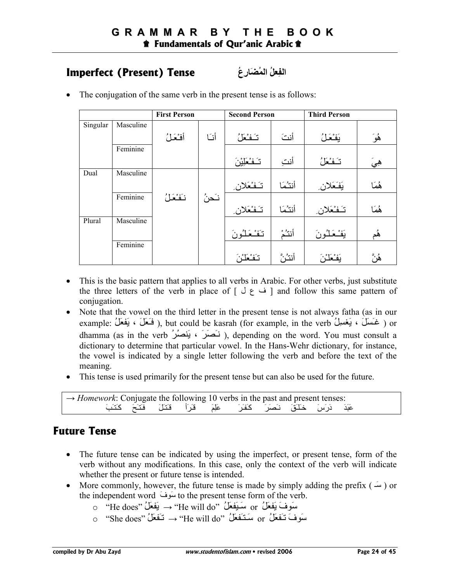## **ا)ِ
[ُ اَ1ُرِعُ Tense) Present (Imperfect**

- **First Person Second Person Third Person** Masculine هُوَ | يَفْعَلُ | أنتَ | تَـفْعَلُ Singular Feminine أنَا أفْحَلُ هِيَ | تَـَفْعَلُ | أنتِ | تَـفْعَلِيْنَ Masculine هُمَا | يَفَعَلان | أنتُمَا | تَـفْعَلان Dual Feminine هُمَا | تَـَفْـعَلان | أنتُـمَا | تَـفْـعَلان Masculine هُم | يَفْـعَلْـُونَ | أنتَـُمْ | تَـفْـعَلْـُونَ Plural Feminine نَحنُ | نَفْعَلُ هُنَّ | بَفْعَلْنَ | أنثُنَّ | تَغْعَلْنَ
- The conjugation of the same verb in the present tense is as follows:

- This is the basic pattern that applies to all verbs in Arabic. For other verbs, just substitute the three letters of the verb in place of  $\lceil \bigcup_{i=1}^{\infty}$  and follow this same pattern of conjugation.
- Note that the vowel on the third letter in the present tense is not always fatha (as in our example: غَسَلَ ، يَغْسِلُ ), but could be kasrah (for example, in the verb ) ، وَ خَسَلَ ) or dhamma (as in the verb أَحْصَلُ), depending on the word. You must consult a dictionary to determine that particular vowel. In the Hans-Wehr dictionary, for instance, the vowel is indicated by a single letter following the verb and before the text of the meaning.
- This tense is used primarily for the present tense but can also be used for the future.

| $\rightarrow$ <i>Homework</i> : Conjugate the following 10 verbs in the past and present tenses: |                                                                       |  |  |  |  |
|--------------------------------------------------------------------------------------------------|-----------------------------------------------------------------------|--|--|--|--|
|                                                                                                  | عَبَدَ دَرَسَ خَلَقَ نَصَرَ كَفَرَ عَلِمَ قَرَأَ قَتَلَ فَتَحَ كَتَبَ |  |  |  |  |

## **Future Tense**

- The future tense can be indicated by using the imperfect, or present tense, form of the verb without any modifications. In this case, only the context of the verb will indicate whether the present or future tense is intended.
- More commonly, however, the future tense is made by simply adding the prefix  $(\omega)$  or the independent word  $\omega$ i to the present tense form of the verb.
	- o "He does" ُ;َ<َ] → "He will do" ُ;َ<َiـَ9 or ُ;َ<َ] َفWَ9
	- o "She does"  $\rightarrow$  "He will do" سَتَفَعَلُ "or or "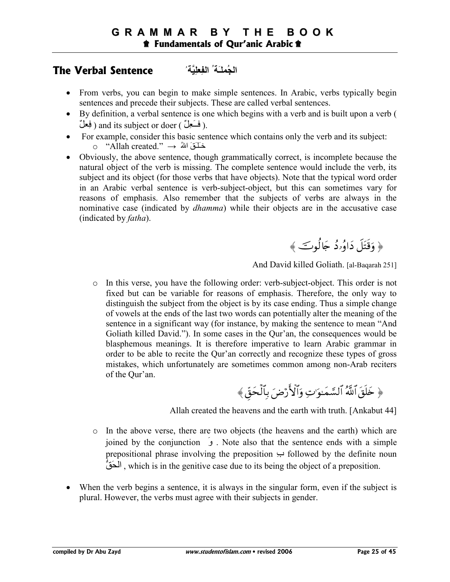## **اُ\*ـَ ُ ا)ِ
\*+,ِ ُ Sentence Verbal The**

- From verbs, you can begin to make simple sentences. In Arabic, verbs typically begin sentences and precede their subjects. These are called verbal sentences.
- By definition, a verbal sentence is one which begins with a verb and is built upon a verb ( فَسَعِلٌ ) and its subject or doer ( فِعْلٌ ).
- For example, consider this basic sentence which contains only the verb and its subject: o "Allah created."  $\rightarrow$  هَـلَـقَ اللهُ  $\rightarrow$
- Obviously, the above sentence, though grammatically correct, is incomplete because the natural object of the verb is missing. The complete sentence would include the verb, its subject and its object (for those verbs that have objects). Note that the typical word order in an Arabic verbal sentence is verb-subject-object, but this can sometimes vary for reasons of emphasis. Also remember that the subjects of verbs are always in the nominative case (indicated by *dhamma*) while their objects are in the accusative case (indicated by *fatha*).

﴿ وَقُتُلْ دَاوُرُدُ جَالُوتَ ﴾

And David killed Goliath. [al-Baqarah 251]

o In this verse, you have the following order: verb-subject-object. This order is not fixed but can be variable for reasons of emphasis. Therefore, the only way to distinguish the subject from the object is by its case ending. Thus a simple change of vowels at the ends of the last two words can potentially alter the meaning of the sentence in a significant way (for instance, by making the sentence to mean "And Goliath killed David."). In some cases in the Qur'an, the consequences would be blasphemous meanings. It is therefore imperative to learn Arabic grammar in order to be able to recite the Qur'an correctly and recognize these types of gross mistakes, which unfortunately are sometimes common among non-Arab reciters of the Qur'an.

﴿ خَلْقَ اللَّهَ السَّمَـٰوَ'تِ وَالأَرْضَ بِالْحَقُ﴾

Allah created the heavens and the earth with truth. [Ankabut 44]

- o In the above verse, there are two objects (the heavens and the earth) which are joined by the conjunction َو . Note also that the sentence ends with a simple prepositional phrase involving the preposition  $\leftrightarrow$  followed by the definite noun الْحَقُّ), which is in the genitive case due to its being the object of a preposition.
- When the verb begins a sentence, it is always in the singular form, even if the subject is plural. However, the verbs must agree with their subjects in gender.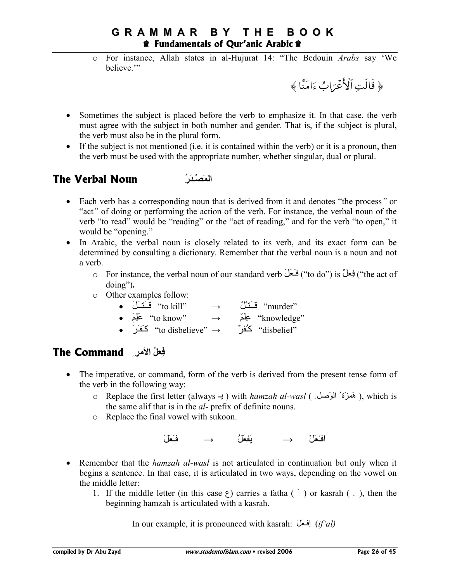o For instance, Allah states in al-Hujurat 14: "The Bedouin *Arabs* say 'We believe.'"

﴿ قَالَتِ الْأَعْرَابُ ءَامَنَّا ﴾

- Sometimes the subject is placed before the verb to emphasize it. In that case, the verb must agree with the subject in both number and gender. That is, if the subject is plural, the verb must also be in the plural form.
- If the subject is not mentioned (i.e. it is contained within the verb) or it is a pronoun, then the verb must be used with the appropriate number, whether singular, dual or plural.

## **The Verbal Noun ـُرَI َْا**

- Each verb has a corresponding noun that is derived from it and denotes "the process*"* or "act*"* of doing or performing the action of the verb. For instance, the verbal noun of the verb "to read" would be "reading" or the "act of reading," and for the verb "to open," it would be "opening."
- In Arabic, the verbal noun is closely related to its verb, and its exact form can be determined by consulting a dictionary. Remember that the verbal noun is a noun and not a verb.
	- o For instance, the verbal noun of our standard verb فِعْلٌ it o do") is بِيَّفْتُ ("the act of") doing")**.**
	- o Other examples follow:
		- َ;َــVَــs "to kill" → ٌ;ْـVَــs "murder"
		- َ8ِ5َx "to know" → ٌ85ِx "knowledge"
		- "disbelief" كُـُفرٌ → "to disbelieve" → كَـفَـرَ →

## **The Command ِ bا ُ
[ِ**

- The imperative, or command, form of the verb is derived from the present tense form of the verb in the following way:
	- o Replace the first letter (always ـ) with *hamzah al-wasl* ( هَمْزَة<sup>\*</sup> الْوَصْلْه ), which is the same alif that is in the *al-* prefix of definite nouns.
	- o Replace the final vowel with sukoon.

 $\left(\begin{matrix} \frac{1}{2} & \frac{1}{2} \\ \frac{1}{2} & \frac{1}{2} \end{matrix}\right)$ افْعَلْ  $\rightarrow$  فَعَلْ

- Remember that the *hamzah al-wasl* is not articulated in continuation but only when it begins a sentence. In that case, it is articulated in two ways, depending on the vowel on the middle letter:
	- 1. If the middle letter (in this case  $\zeta$ ) carries a fatha (  $\zeta$ ) or kasrah (  $\zeta$ ), then the beginning hamzah is articulated with a kasrah.

In our example, it is pronounced with kasrah: اِفْتَحَلْ *(if'al)*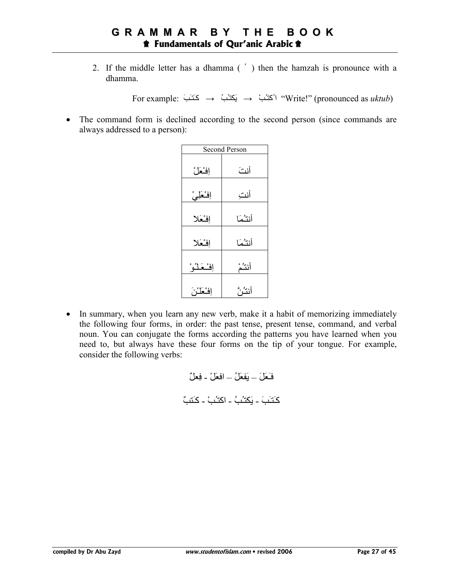2. If the middle letter has a dhamma ( ُ ) then the hamzah is pronounce with a dhamma.

For example:  $\rightarrow$   $\rightarrow$   $\rightarrow$   $\rightarrow$   $\rightarrow$   $\rightarrow$   $\rightarrow$  "Write!" (pronounced as *uktub*)

• The command form is declined according to the second person (since commands are always addressed to a person):

|            | <b>Second Person</b> |  |  |  |  |
|------------|----------------------|--|--|--|--|
| إفثعل      | أنثَ                 |  |  |  |  |
| إفْعَلِيْ  | أنتِ                 |  |  |  |  |
| إفسعكا     | أنثثما               |  |  |  |  |
| إفسعلا     | أنتثما               |  |  |  |  |
| إفشعَلْوْ  | أنتث                 |  |  |  |  |
| إفْعَلْزْ، | أنتثرَ               |  |  |  |  |

• In summary, when you learn any new verb, make it a habit of memorizing immediately the following four forms, in order: the past tense, present tense, command, and verbal noun. You can conjugate the forms according the patterns you have learned when you need to, but always have these four forms on the tip of your tongue. For example, consider the following verbs:

=ـَ>َ;َ – [َ>َ;ُ – ا=>َ;ْ - =ِ>;ٌ ٌµVَآـ - ْµُـVاآ - ُµُـVLَ] - َµَـVَآـ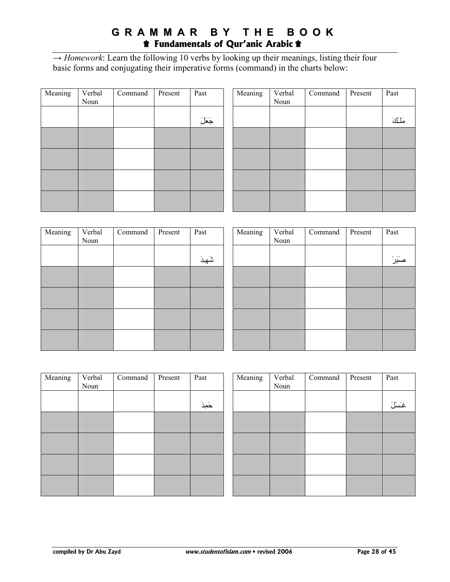### **G R A M M A R B Y T H E B O O K**  $\hat{\mathbf{r}}$  Fundamentals of Qur'anic Arabic  $\hat{\mathbf{r}}$

 $\rightarrow$  *Homework*: Learn the following 10 verbs by looking up their meanings, listing their four basic forms and conjugating their imperative forms (command) in the charts below:

| Meaning | Verbal<br>Noun | Command | Present | Past   |
|---------|----------------|---------|---------|--------|
|         |                |         |         | جَعَلَ |
|         |                |         |         |        |
|         |                |         |         |        |
|         |                |         |         |        |
|         |                |         |         |        |

| Meaning | Verbal<br>Noun | Command | Present | Past |
|---------|----------------|---------|---------|------|
|         |                |         |         | ملك  |
|         |                |         |         |      |
|         |                |         |         |      |
|         |                |         |         |      |
|         |                |         |         |      |

| Meaning | Verbal<br>Noun | Command | Present | Past   |  |
|---------|----------------|---------|---------|--------|--|
|         |                |         |         | شَهِدَ |  |
|         |                |         |         |        |  |
|         |                |         |         |        |  |
|         |                |         |         |        |  |
|         |                |         |         |        |  |

| Meaning | Verbal<br>Noun | Command | Present | Past   |
|---------|----------------|---------|---------|--------|
|         |                |         |         | صَبَرَ |
|         |                |         |         |        |
|         |                |         |         |        |
|         |                |         |         |        |
|         |                |         |         |        |

| Meaning | Verbal<br>Noun | Command | Present | Past   |
|---------|----------------|---------|---------|--------|
|         |                |         |         | حَمِدَ |
|         |                |         |         |        |
|         |                |         |         |        |
|         |                |         |         |        |
|         |                |         |         |        |

| Meaning | Verbal<br>Noun | Command | Present | Past   |
|---------|----------------|---------|---------|--------|
|         |                |         |         | غَسَلَ |
|         |                |         |         |        |
|         |                |         |         |        |
|         |                |         |         |        |
|         |                |         |         |        |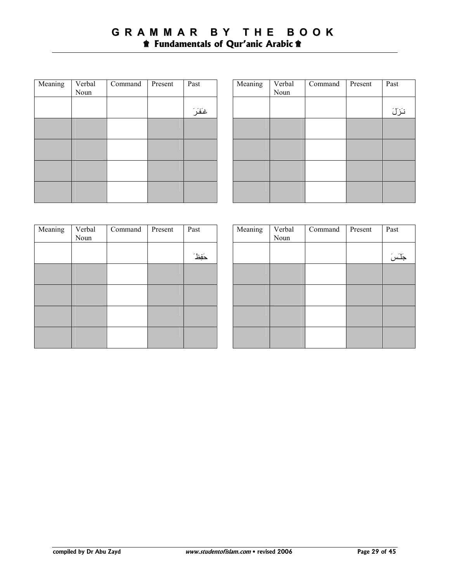| Meaning | Verbal<br>Noun | Command | Present | Past   |
|---------|----------------|---------|---------|--------|
|         |                |         |         | غَفَرَ |
|         |                |         |         |        |
|         |                |         |         |        |
|         |                |         |         |        |
|         |                |         |         |        |

| Meaning | Verbal<br>Noun | Command | Present | Past |
|---------|----------------|---------|---------|------|
|         |                |         |         | نزلَ |
|         |                |         |         |      |
|         |                |         |         |      |
|         |                |         |         |      |
|         |                |         |         |      |

| Meaning | Verbal<br>Noun | Command | Present | Past  |
|---------|----------------|---------|---------|-------|
|         |                |         |         | دَفِظ |
|         |                |         |         |       |
|         |                |         |         |       |
|         |                |         |         |       |
|         |                |         |         |       |

| Meaning | Verbal<br>Noun | Command | Present | Past   |
|---------|----------------|---------|---------|--------|
|         |                |         |         | جَلَسَ |
|         |                |         |         |        |
|         |                |         |         |        |
|         |                |         |         |        |
|         |                |         |         |        |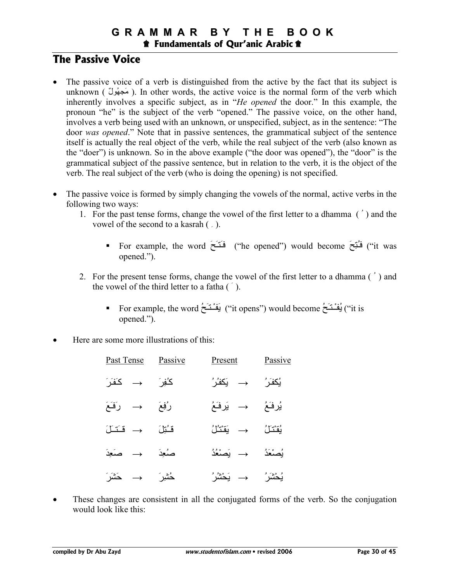## **The Passive Voice**

- The passive voice of a verb is distinguished from the active by the fact that its subject is unknown ( مَجْهُولٌ). In other words, the active voice is the normal form of the verb which inherently involves a specific subject, as in "*He opened* the door." In this example, the pronoun "he" is the subject of the verb "opened." The passive voice, on the other hand, involves a verb being used with an unknown, or unspecified, subject, as in the sentence: "The door *was opened*." Note that in passive sentences, the grammatical subject of the sentence itself is actually the real object of the verb, while the real subject of the verb (also known as the "doer") is unknown. So in the above example ("the door was opened"), the "door" is the grammatical subject of the passive sentence, but in relation to the verb, it is the object of the verb. The real subject of the verb (who is doing the opening) is not specified.
- The passive voice is formed by simply changing the vowels of the normal, active verbs in the following two ways:
	- 1. For the past tense forms, change the vowel of the first letter to a dhamma ( ُ ) and the vowel of the second to a kasrah ( ِ ).
		- For example, the word  $\epsilon$ َـنَـٰحَـٰ ("he opened") would become  $\epsilon$ بَـنَـٰحَـٰ ("it was opened.").
	- 2. For the present tense forms, change the vowel of the first letter to a dhamma ( ُ ) and the vowel of the third letter to a fatha  $(\tilde{\ })$ .
		- For example, the word ُºَـVـْـَ") [it opens") would become ُºَـVـْـُ") [it is opened.").
- Here are some more illustrations of this:

| Past Tense                                       | Passive | Present                                 | Passive         |
|--------------------------------------------------|---------|-----------------------------------------|-----------------|
| $\stackrel{\sim}{\longrightarrow}$ $\rightarrow$ | ڲؙڣۣۯ   | → یَکفُرُ                               | يُكفَرُ         |
| رُفِعَ     →     رَفَعَ                          |         | یُرفَعُ                    يَرفَعُ      |                 |
| قشُرْنَ $\rightarrow$ قَسَسْ                     |         | يُقتَنَلُ                     يَقتَنُلُ |                 |
| $\stackrel{\sim}{\longrightarrow}$ صَعِدَ        |         | يُصنْعَدُ                  يَصنْعُدُ    |                 |
| دُسُّ <i>ير</i> َ → حَشَرَ                       |         | → يَحْشُرُ                              | <b>يُحْشَرُ</b> |

These changes are consistent in all the conjugated forms of the verb. So the conjugation would look like this: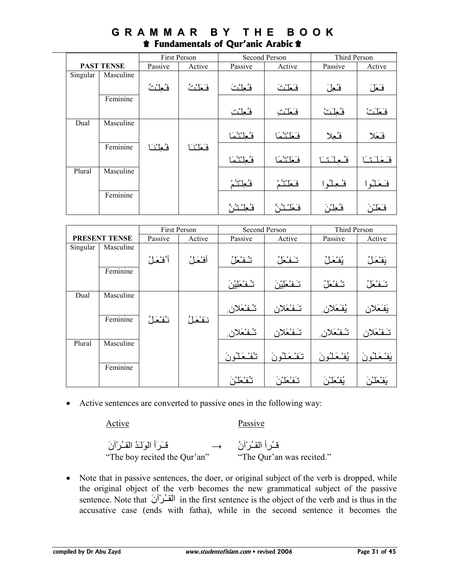|          | <b>First Person</b> |            |          | Second Person | Third Person  |           |          |
|----------|---------------------|------------|----------|---------------|---------------|-----------|----------|
|          | <b>PAST TENSE</b>   | Passive    | Active   | Passive       | Active        | Passive   | Active   |
| Singular | Masculine           |            |          |               |               |           |          |
|          |                     | فُعِلْنُتُ | فَعَلْنُ | فُعِلْنَ      | فكلث          | فُعِلَ    | فَعَلَ   |
|          | Feminine            |            |          |               |               |           |          |
|          |                     |            |          | فُعِلْنَ      | فَعَلْنَبَ    | فنعلت     | فَعَلَتْ |
| Dual     | Masculine           |            |          |               |               |           |          |
|          |                     |            |          | فُعِلْتُمَا   | فكلتئما       | فُعِلا    | فكعكا    |
|          | Feminine            | فنعلننا    | فكلننا   |               |               |           |          |
|          |                     |            |          | فكطنئما       | فكلتئما       | فعلتنا    | فكلتا    |
| Plural   | Masculine           |            |          |               |               |           |          |
|          |                     |            |          | فُعِلْتُمْ    | فكلتئ         | فسعلنوا   | فَحَلُوا |
|          | Feminine            |            |          |               |               |           |          |
|          |                     |            |          |               | فَعَلْنُنُنَّ | فُعِلْزُ، | فَعَلْنُ |

## **G R A M M A R B Y T H E B O O K**  $\hat{\mathbf{r}}$  Fundamentals of Qur'anic Arabic  $\hat{\mathbf{r}}$

|          |                      |         | First Person |             | <b>Second Person</b> | Third Person |               |
|----------|----------------------|---------|--------------|-------------|----------------------|--------------|---------------|
|          | <b>PRESENT TENSE</b> | Passive | Active       | Passive     | Active               | Passive      | Active        |
| Singular | Masculine            |         |              |             |                      |              |               |
|          |                      | أنفخل   | أفثعَلُ      | تشفنعل      | تفعل                 | يُفْعَلُ     | بَفْعَلُ      |
|          | Feminine             |         |              |             |                      |              |               |
|          |                      |         |              | تشفاظير     | تَـفْعَلِبْنَ        | تشفشعل       | تَفْعَلُ      |
| Dual     | Masculine            |         |              |             |                      |              |               |
|          |                      |         |              | تشفنعلان    | تَـفْـعَلان          | يُفَعَلان    | يَفَعَلان     |
|          | Feminine             | ننفعل   | نَفْعَلُ     |             |                      |              |               |
|          |                      |         |              | تشفنعلان    | تَـفْعَلان           | تشفحلان      | تَـفْـعَلان   |
| Plural   | Masculine            |         |              |             |                      |              |               |
|          |                      |         |              | تنفشعَلُونَ | تَفْعَلُونَ          | يُفْخَلُونَ  | يَفْحَلْنُونَ |
|          | Feminine             |         |              |             |                      |              |               |
|          |                      |         |              | تنفحلن      | تنفحذن               | بُفْعَلْنَ   |               |

• Active sentences are converted to passive ones in the following way:

Active Passive

قَــُراً القـُـرْآنُ → هــَـــوَأ القـُـرُآنَ<br>"The boy recited the Qur'an" "The Qur'an was recited." "The boy recited the Qur'an"

• Note that in passive sentences, the doer, or original subject of the verb is dropped, while the original object of the verb becomes the new grammatical subject of the passive sentence. Note that  $\overline{\text{dist}}$  in the first sentence is the object of the verb and is thus in the accusative case (ends with fatha), while in the second sentence it becomes the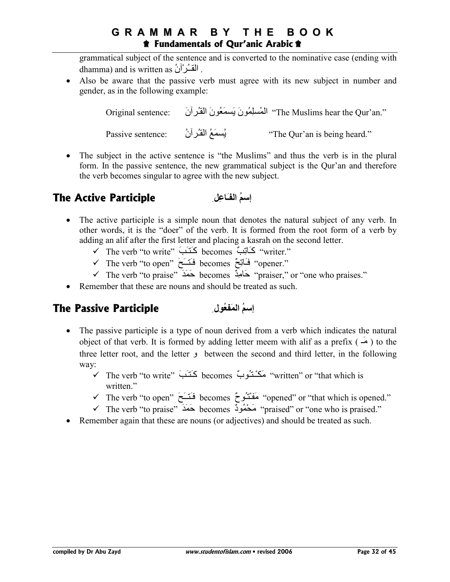grammatical subject of the sentence and is converted to the nominative case (ending with dhamma) and is written as  $\hat{u}$ <sup>1</sup>.

• Also be aware that the passive verb must agree with its new subject in number and gender, as in the following example:

| Original sentence: |                  | ''The Muslims hear the Qur'an.'' الْمُسلِمُونَ بَسمَعُونَ الْقُرْآنَ |
|--------------------|------------------|----------------------------------------------------------------------|
| Passive sentence:  | يُسمَعُ القُرآنُ | "The Qur'an is being heard."                                         |

• The subject in the active sentence is "the Muslims" and thus the verb is in the plural form. In the passive sentence, the new grammatical subject is the Qur'an and therefore the verb becomes singular to agree with the new subject.

#### **The Active Participle** إ**سمُ الفَـَاعِل**

- The active participle is a simple noun that denotes the natural subject of any verb. In other words, it is the "doer" of the verb. It is formed from the root form of a verb by adding an alif after the first letter and placing a kasrah on the second letter.
	- The verb "to write" َµَـVَآـ becomes ٌµِ#َآـ" writer."
	- The verb "to open" َºَــVَـ =becomes ٌºِ#َـ" =opener."
	- The verb "to praise" َZَ4َ. becomes ٌZِK#َ. "praiser," or "one who praises."
- Remember that these are nouns and should be treated as such.

#### **The Passive Participle إسمُ المَفْعُول**

- The passive participle is a type of noun derived from a verb which indicates the natural object of that verb. It is formed by adding letter meem with alif as a prefix  $($ three letter root, and the letter و between the second and third letter, in the following way:
	- vritten" or "that which is كَتَـبَ "becomes كَتَـبَ "written" or "that which is written."
	- ◆ The verb "to open" فَتَــَـحَ 'becomes فَقَــَـبَ' "opened" or "that which is opened
	- ► The verb "to praise" مَحْمُودٌ becomes حَمَدَ "praised" or "one who is praised."
- Remember again that these are nouns (or adjectives) and should be treated as such.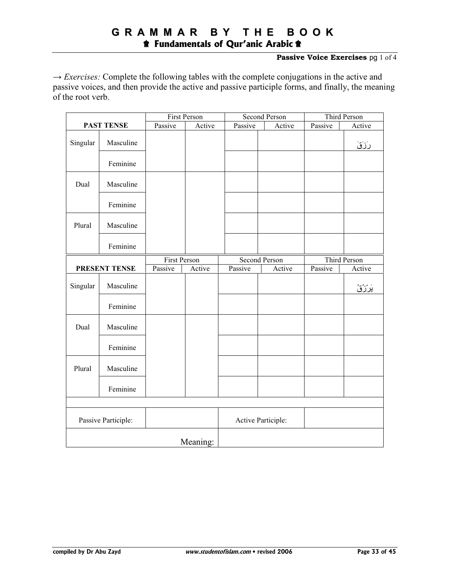#### **Passive Voice Exercises** pg 1 of 4

 $\rightarrow$  *Exercises:* Complete the following tables with the complete conjugations in the active and passive voices, and then provide the active and passive participle forms, and finally, the meaning of the root verb.

|          |                     |              | First Person |                      | <b>Second Person</b> |              | <b>Third Person</b> |
|----------|---------------------|--------------|--------------|----------------------|----------------------|--------------|---------------------|
|          | <b>PAST TENSE</b>   | Passive      | Active       | Passive              | Active               | Passive      | Active              |
| Singular | Masculine           |              |              |                      |                      |              | رَزَقَ              |
|          | Feminine            |              |              |                      |                      |              |                     |
| Dual     | Masculine           |              |              |                      |                      |              |                     |
|          | Feminine            |              |              |                      |                      |              |                     |
| Plural   | Masculine           |              |              |                      |                      |              |                     |
|          | Feminine            |              |              |                      |                      |              |                     |
|          |                     | First Person |              | <b>Second Person</b> |                      | Third Person |                     |
|          | PRESENT TENSE       | Passive      | Active       | Passive              | Active               | Passive      | Active              |
| Singular | Masculine           |              |              |                      |                      |              | ؽؘڒؙڒؙڨؙ            |
|          | Feminine            |              |              |                      |                      |              |                     |
| Dual     | Masculine           |              |              |                      |                      |              |                     |
|          | Feminine            |              |              |                      |                      |              |                     |
| Plural   | Masculine           |              |              |                      |                      |              |                     |
|          | Feminine            |              |              |                      |                      |              |                     |
|          |                     |              |              |                      |                      |              |                     |
|          | Passive Participle: |              |              |                      | Active Participle:   |              |                     |
|          |                     |              | Meaning:     |                      |                      |              |                     |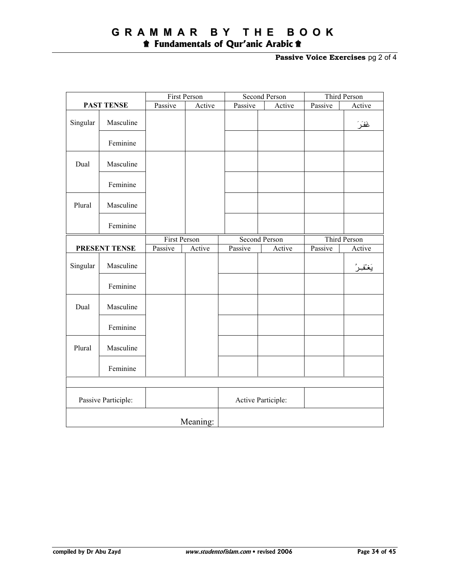# **G R A M M A R B Y T H E B O O K**

 $\hat{\mathbf{r}}$  Fundamentals of Qur'anic Arabic  $\hat{\mathbf{r}}$ 

**Passive Voice Exercises** pg 2 of 4

|          |                     | First Person        |          |         | Second Person        |         | Third Person |  |
|----------|---------------------|---------------------|----------|---------|----------------------|---------|--------------|--|
|          | <b>PAST TENSE</b>   | Passive             | Active   | Passive | Active               | Passive | Active       |  |
| Singular | Masculine           |                     |          |         |                      |         | غَفَرَ       |  |
|          | Feminine            |                     |          |         |                      |         |              |  |
| Dual     | Masculine           |                     |          |         |                      |         |              |  |
|          | Feminine            |                     |          |         |                      |         |              |  |
| Plural   | Masculine           |                     |          |         |                      |         |              |  |
|          | Feminine            |                     |          |         |                      |         |              |  |
|          |                     | <b>First Person</b> |          |         | <b>Second Person</b> |         | Third Person |  |
|          | PRESENT TENSE       | Passive             | Active   | Passive | Active               | Passive | Active       |  |
| Singular | Masculine           |                     |          |         |                      |         |              |  |
|          | Feminine            |                     |          |         |                      |         |              |  |
| Dual     | Masculine           |                     |          |         |                      |         |              |  |
|          | Feminine            |                     |          |         |                      |         |              |  |
| Plural   | Masculine           |                     |          |         |                      |         |              |  |
|          | Feminine            |                     |          |         |                      |         |              |  |
|          |                     |                     |          |         |                      |         |              |  |
|          | Passive Participle: |                     |          |         | Active Participle:   |         |              |  |
|          |                     |                     | Meaning: |         |                      |         |              |  |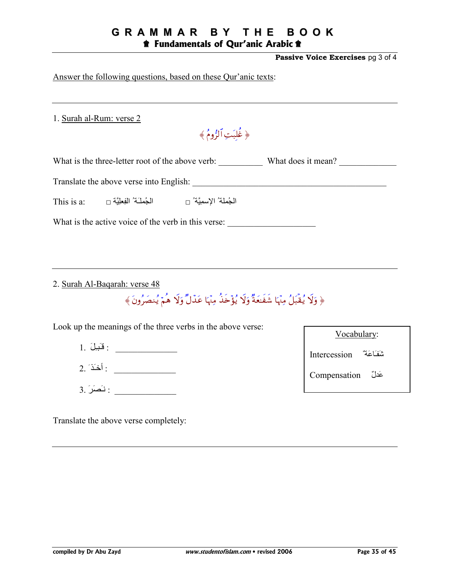## **GRAMMAR BY THE BOOK**

#### **t** Fundamentals of Qur'anic Arabic **t**

Passive Voice Exercises pg 3 of 4

Answer the following questions, based on these Qur'anic texts:

1. Surah al-Rum: verse 2

﴿ غُلَّبَتِ ٱلزُّومُ ﴾

What is the three-letter root of the above verb: What does it mean?

| الجُملَـة′ الفِعلِيَّة □<br>This is a: | الجُملة′ الإسمِيَّة′ □ |
|----------------------------------------|------------------------|
|----------------------------------------|------------------------|

What is the active voice of the verb in this verse:

2. Surah Al-Bagarah: verse 48

﴿ وَلَا يُقْبَلُ مِنْهَا شَفَعَةٌ وَلَا يُؤْخَذُ مِنْهَا عَدْلٌ وَلَا هُمْ يُنصَرُونَ ﴾

Look up the meanings of the three verbs in the above verse:

- $1.$  فَبَيلَ $1.$
- $2.$  أَخَذَ  $-$
- $3.$  نَصَلَ $\frac{1}{2}$  :

Translate the above verse completely:

| Vocabulary:            |  |
|------------------------|--|
| تشفكاعَة" Intercession |  |
| Compensation عَدلٌ     |  |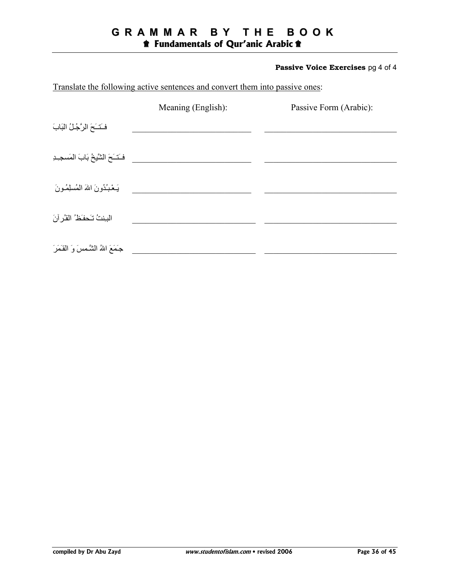#### **GRAMMAR BY THE BOOK t** Fundamentals of Qur'anic Arabic  $\triangle$

#### Passive Voice Exercises pg 4 of 4

| Translate the following active sentences and convert them into passive ones: |                    |                        |  |  |  |
|------------------------------------------------------------------------------|--------------------|------------------------|--|--|--|
|                                                                              | Meaning (English): | Passive Form (Arabic): |  |  |  |
| فَتَتَحَ الرَّجُلُ الْبَابَ                                                  |                    |                        |  |  |  |
| فَنَسَحَ الشَّيخُ بَابَ المَسجِـدِ                                           |                    |                        |  |  |  |
| يَـعْـبُـُدُو نَ اللهَ الْمُسلِمُـو نَ                                       |                    |                        |  |  |  |
| البنتُ تَحفَظُ القُرْ أنَ                                                    |                    |                        |  |  |  |
| جَمَعَ اللهُ الشَّمسَ وَ القَمَرَ                                            |                    |                        |  |  |  |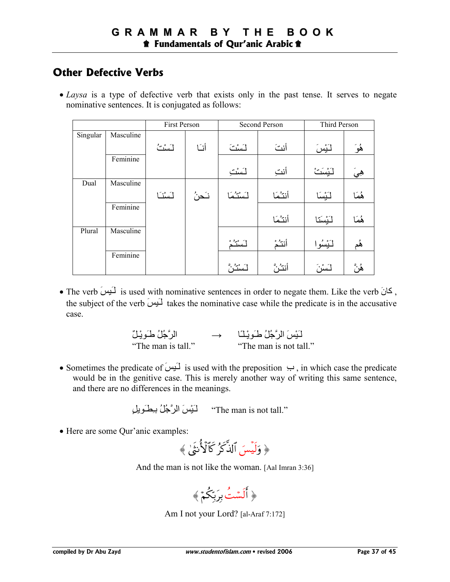## **Other Defective Verbs**

• *Laysa* is a type of defective verb that exists only in the past tense. It serves to negate nominative sentences. It is conjugated as follows:

|          |           | First Person |       | Second Person                |        | Third Person |       |
|----------|-----------|--------------|-------|------------------------------|--------|--------------|-------|
| Singular | Masculine |              |       |                              |        |              |       |
|          |           | لَسْتُ       | أنسا  | لَسْتَ                       | أنتَ   | لَبْسَ       | ۿؙۅؘ  |
|          | Feminine  |              |       |                              |        |              |       |
|          |           |              |       | لـَسْتِ                      | أنتِ   | لنَيْسَتُ    | هِيَ  |
| Dual     | Masculine |              |       |                              |        |              |       |
|          |           | لسُنَا       | نَحنُ | لستثما                       | أنتثما | لنَيْسَا     | ۿؘڡؘڶ |
|          | Feminine  |              |       |                              |        |              |       |
|          |           |              |       |                              | أنتثما | لَيْسَنَا    | ۿؘڡؘڶ |
| Plural   | Masculine |              |       |                              |        |              |       |
|          |           |              |       | أسليم                        | أنتث   | لَيْسُوا     | ۿؙۄ   |
|          | Feminine  |              |       |                              |        |              |       |
|          |           |              |       | ن مېږ <sup>ي</sup><br>سىندر، | أنثث   | لَسْنَ       | ۿؙڽۜ  |

• The verb يكنُ is used with nominative sentences in order to negate them. Like the verb بالآيا , the subject of the verb  $\overline{L}$ **Li** takes the nominative case while the predicate is in the accusative case.

| الرَّجُلُ طَـوِيْـلٌ | $\rightarrow$ | لَّبْسَ الرَّجُلُ طَوِيْلًا |
|----------------------|---------------|-----------------------------|
| "The man is tall."   |               | "The man is not tall."      |

• Sometimes the predicate of  $\overline{L}$  is used with the preposition  $\overline{L}$ , in which case the predicate would be in the genitive case. This is merely another way of writing this same sentence, and there are no differences in the meanings.

لَـبُسَ الرَّجُلُ بِـطْـوَيلَ"<br>The man is not tall."

• Here are some Qur'anic examples:

$$
\text{and} \hat{J}^{\dagger}_{\mathbf{u}} \text{ is a constant.}
$$

And the man is not like the woman. [Aal Imran 3:36]

$$
\text{supp} \hspace{0.1cm} \hat{\mathcal{L}}_{\text{max}}
$$

Am I not your Lord? [al-Araf 7:172]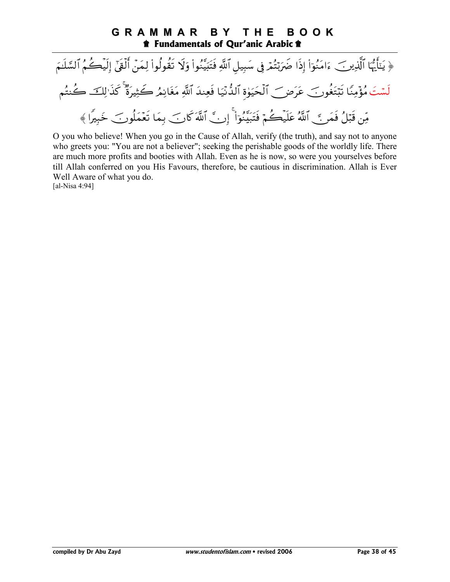#### **GRAMMAR** B Y THE **BOOK the Fundamentals of Qur'anic Arabic the Fundamentals of Qur'anic Arabic the Fundamental**

﴿ يَنَأَيُّهَا ٱلَّذِينَ ءَامَنُوٓاْ إِذَا ضَرَبْتُمۡ فِي سَبِيلِ ٱللَّهِ فَتَبَيَّنُواْ وَلَا تَقُولُواْ لِمَنۡ أَلۡقَىٰٓ إِلَيۡكُمُ ٱلسَّلَـمَ لَسْتَ مُؤْمِنًا تَبْتَغُونَ عَرَضَ ٱلْحَيَوٰة ٱلدُّنْيَا فَعِندَ ٱللَّهِ مَغَانِمُ كَثِيرَةٌ كَذَالِكَ كُنتُم مِّن قَبَلُ فَمَنَّ ٱللَّهُ عَلَيْكُمْ فَتَبَيَّنُوٓاْ ۚ إِنَّ ٱللَّهَ كَانَ بِمَا تَعۡمَلُونَ خَبِيرًا ﴾

O you who believe! When you go in the Cause of Allah, verify (the truth), and say not to anyone who greets you: "You are not a believer"; seeking the perishable goods of the worldly life. There are much more profits and booties with Allah. Even as he is now, so were you yourselves before till Allah conferred on you His Favours, therefore, be cautious in discrimination. Allah is Ever Well Aware of what you do. [al-Nisa  $4:94$ ]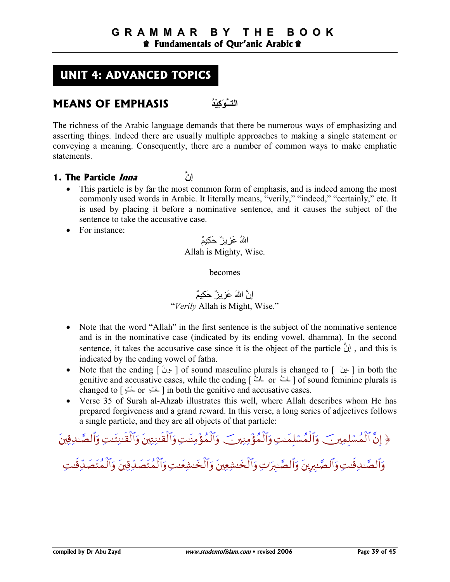## **UNIT 4: ADVANCED TOPICS**

## **MEANS OF EMPHASIS ُIْ,ِآْL+ــ3ا**

The richness of the Arabic language demands that there be numerous ways of emphasizing and asserting things. Indeed there are usually multiple approaches to making a single statement or conveying a meaning. Consequently, there are a number of common ways to make emphatic statements.

- **1. The Particle Inna +إن**
	- This particle is by far the most common form of emphasis, and is indeed among the most commonly used words in Arabic. It literally means, "verily," "indeed," "certainly," etc. It is used by placing it before a nominative sentence, and it causes the subject of the sentence to take the accusative case.
	- For instance:

اللهُ عَزِ بِز ٌ حَكِيمٌ Allah is Mighty, Wise.

becomes

#### إنَّ اللهَ عَزِ يزٌ حَكِيمٌ "*Verily* Allah is Might, Wise."

- Note that the word "Allah" in the first sentence is the subject of the nominative sentence and is in the nominative case (indicated by its ending vowel, dhamma). In the second sentence, it takes the accusative case since it is the object of the particle  $\ddot{\psi}$ , and this is indicated by the ending vowel of fatha.
- Note that the ending  $\lceil \psi \rceil$  of sound masculine plurals is changed to  $\lceil \psi \rceil$  in both the genitive and accusative cases, while the ending [ أَتْ ar مَسْنَ ] of sound feminine plurals is changed to  $\lceil$   $\frac{1}{2}$   $\lfloor$  or  $\frac{1}{2}$  in both the genitive and accusative cases.
- Verse 35 of Surah al-Ahzab illustrates this well, where Allah describes whom He has prepared forgiveness and a grand reward. In this verse, a long series of adjectives follows a single particle, and they are all objects of that particle:

# ﴿ إِنَّ الْمُسْلِمِينَ ۖ وَالْمُسْلِمَٰتِ وَالْمُؤْمِنِينَ ۖ وَالْمُؤْمِنَٰتِ وَالْقَنِيْنَ وَالْقَنِتَٰتِ وَالصَّنْدِقِينَ

وَالصَّـٰدِقْتِ وَالصَّـٰبِرِينَ وَالصَّـٰبِرَٰتِ وَالخَـٰشِعِينَ وَالخَـْشِعَـٰتِ وَالْمُتَصَلِّـٰهِينَ وَالْمُتَصَلِّـٰقِيت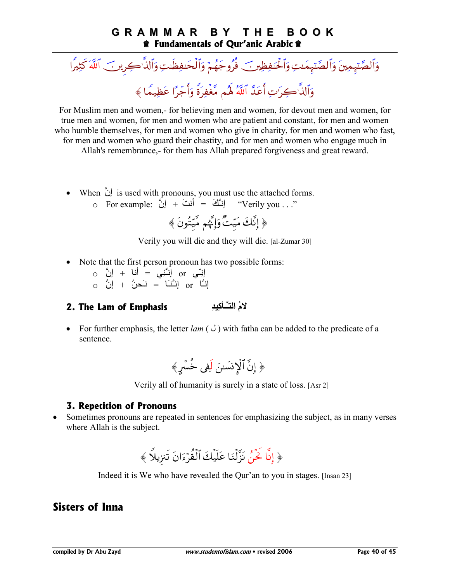#### GRAMMAR BY T H E **BOOK t** Fundamentals of Qur'anic Arabic **t**

وَٱلصَّنِهِمِينَ وَٱلصَّنِهِمَىتِ وَٱلْحَنفِظِينَ فُرُوجَهُمْ وَٱلْحَنفِظَىتِ وَٱلذَّاكِرِينَ ٱللَّهَ كَثِيرًا وَٱلذَّ'كِرَ'تِ أَعَدَّ ٱللَّهُ لَهُم مَّغْفِرَةً وَأَجْرًا عَظِيمًا ﴾

For Muslim men and women,- for believing men and women, for devout men and women, for true men and women, for men and women who are patient and constant, for men and women who humble themselves, for men and women who give in charity, for men and women who fast, for men and women who guard their chastity, and for men and women who engage much in Allah's remembrance, for them has Allah prepared for giveness and great reward.

- When  $\bigcup_{i=1}^{\infty}$  is used with pronouns, you must use the attached forms.<br>  $\bigcup_{i=1}^{\infty}$  (اِنَّكَ = أَنتَ + إِنَّ وَ Verily you . . "
	-

﴿ إِنَّكَ مَيّتٌ وَإِنَّهُم مَّيّتُونَ ﴾

Verily you will die and they will die. [al-Zumar 30]

- Note that the first person pronoun has two possible forms:
	- إِنِّـى or إِنَّـَنِى = أَنا + إِنَّ 0  $\alpha$  انسًا = نَحنُ + انَّ  $\alpha$
- لامُ التَّـأكِيدِ 2. The Lam of Emphasis
- For further emphasis, the letter *lam* ( $J$ ) with fatha can be added to the predicate of a sentence.

$$
\text{Var}(\hat{\mathbf{r}}_i)
$$

Verily all of humanity is surely in a state of loss. [Asr 2]

#### **3. Repetition of Pronouns**

Sometimes pronouns are repeated in sentences for emphasizing the subject, as in many verses where Allah is the subject.

$$
\left(\begin{array}{c|c} \downarrow & \downarrow\\ \downarrow & \downarrow \end{array}\right)
$$

Indeed it is We who have revealed the Qur'an to you in stages. [Insan 23]

## **Sisters of Inna**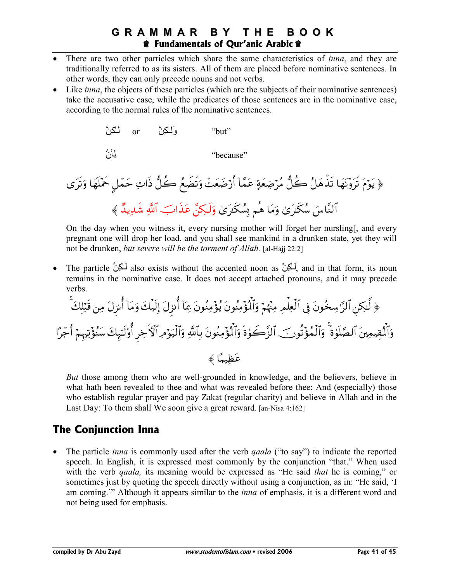#### **GRAMMAR** BY D THE **BOOK t** Fundamentals of Qur'anic Arabic **t**

- There are two other particles which share the same characteristics of *inna*, and they are traditionally referred to as its sisters. All of them are placed before nominative sentences. In other words, they can only precede nouns and not verbs.
- Like *inna*, the objects of these particles (which are the subjects of their nominative sentences) take the accusative case, while the predicates of those sentences are in the nominative case, according to the normal rules of the nominative sentences.



On the day when you witness it, every nursing mother will forget her nursling, and every pregnant one will drop her load, and you shall see mankind in a drunken state, yet they will not be drunken, but severe will be the torment of Allah. [al-Hajj 22:2]

The particle لَكِنَّ also exists without the accented noon as لَكِنَّ and in that form, its noun remains in the nominative case. It does not accept attached pronouns, and it may precede verbs.

But those among them who are well-grounded in knowledge, and the believers, believe in what hath been revealed to thee and what was revealed before thee: And (especially) those who establish regular prayer and pay Zakat (regular charity) and believe in Allah and in the Last Day: To them shall We soon give a great reward. [an-Nisa 4:162]

## **The Conjunction Inna**

The particle *inna* is commonly used after the verb *gaala* ("to say") to indicate the reported speech. In English, it is expressed most commonly by the conjunction "that." When used with the verb *qaala*, its meaning would be expressed as "He said *that* he is coming," or sometimes just by quoting the speech directly without using a conjunction, as in: "He said, 'I am coming." Although it appears similar to the *inna* of emphasis, it is a different word and not being used for emphasis.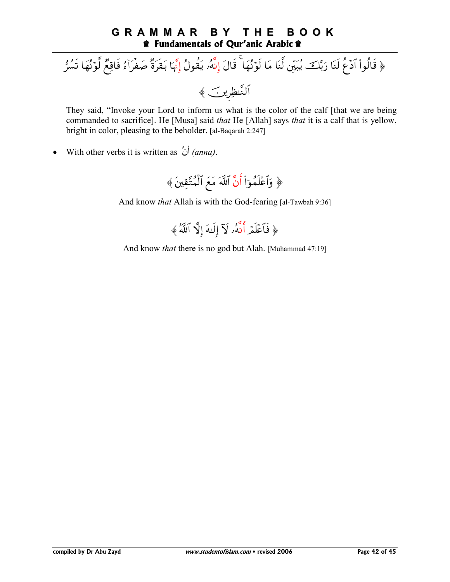#### **GRAMMAR** B Y THE **BOOK the Fundamentals of Qur'anic Arabic the Fundamentals of Qur'anic Arabic the Fundamental**

# ﴿ قَالُواْ آدۡعُ لَنَا رَبَّكَ يُبَيِّنِ لَّنَا مَا لَوۡنُهَا ۚ قَالَ إِنَّهُۥ يَقُولُ إِنَّهَا بَقَرَةٌ صَفْرَآءُ فَاقِعٌ لَّوۡنُهَا تَسُرُّ النَّنظِرِينَ ﴾

They said, "Invoke your Lord to inform us what is the color of the calf [that we are being commanded to sacrifice]. He [Musa] said that He [Allah] says that it is a calf that is yellow, bright in color, pleasing to the beholder. [al-Baqarah 2:247]

With other verbs it is written as  $\phi$  (anna).  $\bullet$ 



And know that Allah is with the God-fearing [al-Tawbah 9:36]



And know *that* there is no god but Alah. [Muhammad 47:19]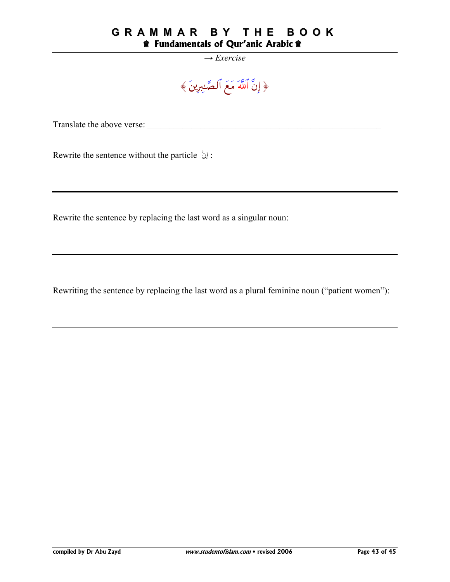#### **GRAMMAR BY THE BOOK** *f* Fundamentals of Qur'anic Arabic  $\hat{\mathbf{r}}$

#### $\rightarrow$  Exercise

# ﴿ إِنَّ ٱللَّهَ مَعَ ٱلصَّـٰبِرِينَ ﴾

: إنَّ Rewrite the sentence without the particle

Rewrite the sentence by replacing the last word as a singular noun:

Rewriting the sentence by replacing the last word as a plural feminine noun ("patient women"):